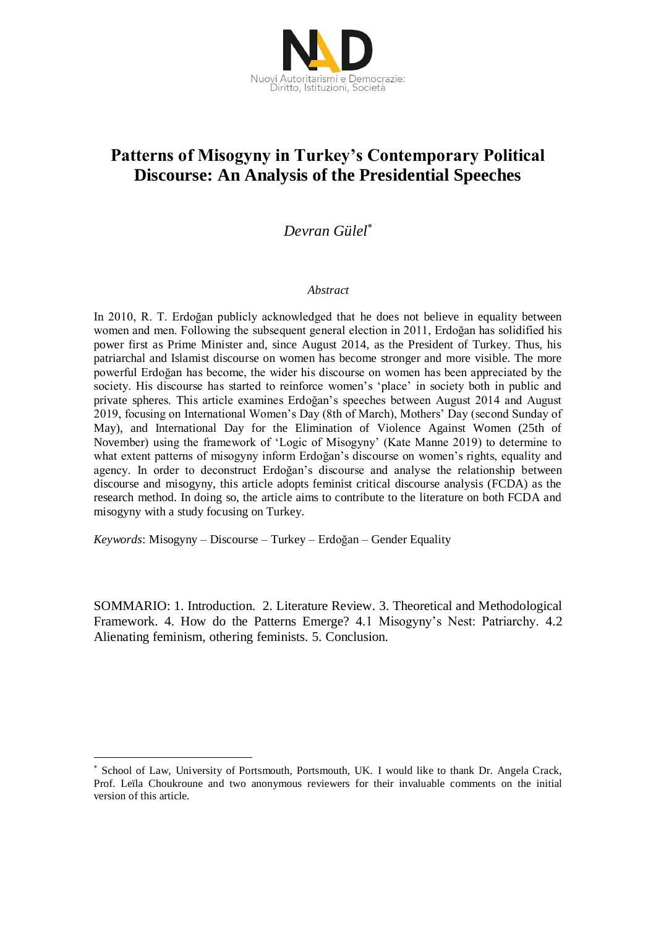

# **Patterns of Misogyny in Turkey's Contemporary Political Discourse: An Analysis of the Presidential Speeches**

# *Devran Gülel*

## *Abstract*

In 2010, R. T. Erdoğan publicly acknowledged that he does not believe in equality between women and men. Following the subsequent general election in 2011, Erdoğan has solidified his power first as Prime Minister and, since August 2014, as the President of Turkey. Thus, his patriarchal and Islamist discourse on women has become stronger and more visible. The more powerful Erdoğan has become, the wider his discourse on women has been appreciated by the society. His discourse has started to reinforce women's 'place' in society both in public and private spheres. This article examines Erdoğan's speeches between August 2014 and August 2019, focusing on International Women's Day (8th of March), Mothers' Day (second Sunday of May), and International Day for the Elimination of Violence Against Women (25th of November) using the framework of 'Logic of Misogyny' (Kate Manne 2019) to determine to what extent patterns of misogyny inform Erdoğan's discourse on women's rights, equality and agency. In order to deconstruct Erdoğan's discourse and analyse the relationship between discourse and misogyny, this article adopts feminist critical discourse analysis (FCDA) as the research method. In doing so, the article aims to contribute to the literature on both FCDA and misogyny with a study focusing on Turkey.

*Keywords*: Misogyny – Discourse – Turkey – Erdoğan – Gender Equality

<u>.</u>

SOMMARIO: 1. Introduction. 2. Literature Review. 3. Theoretical and Methodological Framework. 4. How do the Patterns Emerge? 4.1 Misogyny's Nest: Patriarchy. 4.2 Alienating feminism, othering feminists. 5. Conclusion.

School of Law, University of Portsmouth, Portsmouth, UK. I would like to thank Dr. Angela Crack, Prof. Leïla Choukroune and two anonymous reviewers for their invaluable comments on the initial version of this article.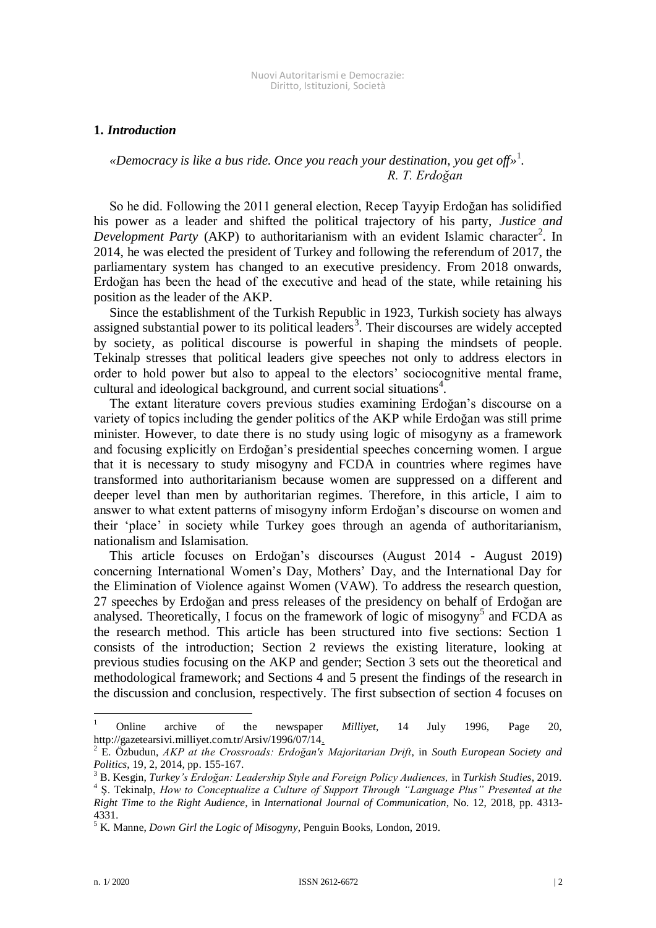## **1.** *Introduction*

# *«Democracy is like a bus ride. Once you reach your destination, you get off»* 1 *. R. T. Erdoğan*

So he did. Following the 2011 general election, Recep Tayyip Erdoğan has solidified his power as a leader and shifted the political trajectory of his party, *Justice and*  Development Party (AKP) to authoritarianism with an evident Islamic character<sup>2</sup>. In 2014, he was elected the president of Turkey and following the referendum of 2017, the parliamentary system has changed to an executive presidency. From 2018 onwards, Erdoğan has been the head of the executive and head of the state, while retaining his position as the leader of the AKP.

Since the establishment of the Turkish Republic in 1923, Turkish society has always assigned substantial power to its political leaders<sup>3</sup>. Their discourses are widely accepted by society, as political discourse is powerful in shaping the mindsets of people. Tekinalp stresses that political leaders give speeches not only to address electors in order to hold power but also to appeal to the electors' sociocognitive mental frame, cultural and ideological background, and current social situations<sup>4</sup>.

The extant literature covers previous studies examining Erdoğan's discourse on a variety of topics including the gender politics of the AKP while Erdoğan was still prime minister. However, to date there is no study using logic of misogyny as a framework and focusing explicitly on Erdoğan's presidential speeches concerning women. I argue that it is necessary to study misogyny and FCDA in countries where regimes have transformed into authoritarianism because women are suppressed on a different and deeper level than men by authoritarian regimes. Therefore, in this article, I aim to answer to what extent patterns of misogyny inform Erdoğan's discourse on women and their 'place' in society while Turkey goes through an agenda of authoritarianism, nationalism and Islamisation.

This article focuses on Erdoğan's discourses (August 2014 - August 2019) concerning International Women's Day, Mothers' Day, and the International Day for the Elimination of Violence against Women (VAW). To address the research question, 27 speeches by Erdoğan and press releases of the presidency on behalf of Erdoğan are analysed. Theoretically, I focus on the framework of logic of misogyny<sup>5</sup> and FCDA as the research method. This article has been structured into five sections: Section 1 consists of the introduction; Section 2 reviews the existing literature, looking at previous studies focusing on the AKP and gender; Section 3 sets out the theoretical and methodological framework; and Sections 4 and 5 present the findings of the research in the discussion and conclusion, respectively. The first subsection of section 4 focuses on

<sup>1</sup> Online archive of the newspaper *Milliyet*, 14 July 1996, Page 20, http://gazetearsivi.milliyet.com.tr/Arsiv/1996/07/14.

<sup>2</sup> E. Özbudun, *AKP at the Crossroads: Erdoğan's Majoritarian Drift*, in *South European Society and Politics*, 19, 2, 2014, pp. 155-167.

<sup>3</sup> B. Kesgin, *Turkey's Erdoğan: Leadership Style and Foreign Policy Audiences,* in *Turkish Studies*, 2019.

<sup>&</sup>lt;sup>4</sup> S. Tekinalp, *How to Conceptualize a Culture of Support Through "Language Plus" Presented at the Right Time to the Right Audience*, in *International Journal of Communication*, No. 12, 2018, pp. 4313- 4331.

<sup>5</sup> K. Manne, *Down Girl the Logic of Misogyny*, Penguin Books, London, 2019.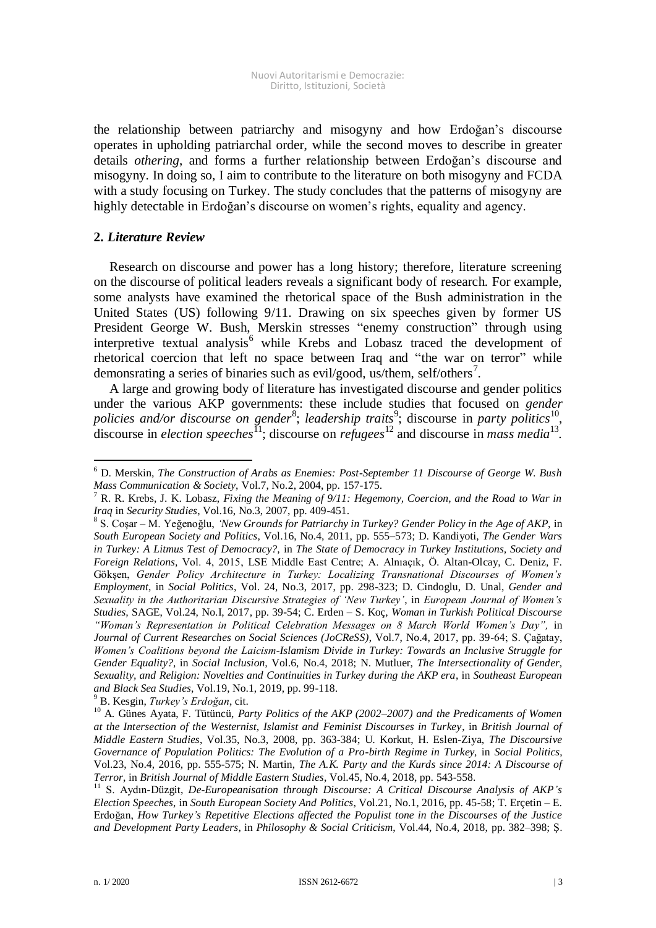the relationship between patriarchy and misogyny and how Erdoğan's discourse operates in upholding patriarchal order, while the second moves to describe in greater details *othering*, and forms a further relationship between Erdoğan's discourse and misogyny. In doing so, I aim to contribute to the literature on both misogyny and FCDA with a study focusing on Turkey. The study concludes that the patterns of misogyny are highly detectable in Erdoğan's discourse on women's rights, equality and agency.

# **2.** *Literature Review*

-

Research on discourse and power has a long history; therefore, literature screening on the discourse of political leaders reveals a significant body of research. For example, some analysts have examined the rhetorical space of the Bush administration in the United States (US) following 9/11. Drawing on six speeches given by former US President George W. Bush, Merskin stresses "enemy construction" through using interpretive textual analysis<sup>6</sup> while Krebs and Lobasz traced the development of rhetorical coercion that left no space between Iraq and "the war on terror" while demonsrating a series of binaries such as evil/good, us/them, self/others<sup>7</sup>.

A large and growing body of literature has investigated discourse and gender politics under the various AKP governments: these include studies that focused on *gender*  policies and/or discourse on gender<sup>8</sup>; leadership traits<sup>9</sup>; discourse in party politics<sup>10</sup>, discourse in *election speeches*<sup>11</sup>; discourse on *refugees*<sup>12</sup> and discourse in *mass media*<sup>13</sup>.

<sup>9</sup> B. Kesgin, *Turkey's Erdoğan*, cit.

<sup>6</sup> D. Merskin, *The Construction of Arabs as Enemies: Post-September 11 Discourse of George W. Bush Mass Communication & Society*, Vol.7, No.2, 2004, pp. 157-175.

<sup>7</sup> R. R. Krebs, J. K. Lobasz, *Fixing the Meaning of 9/11: Hegemony, Coercion, and the Road to War in Iraq* in *Security Studies*, Vol.16, No.3, 2007, pp. 409-451.

<sup>8</sup> S. Coşar – M. Yeğenoğlu, *'New Grounds for Patriarchy in Turkey? Gender Policy in the Age of AKP,* in *South European Society and Politics*, Vol.16, No.4, 2011, pp. 555–573; D. Kandiyoti, *The Gender Wars in Turkey: A Litmus Test of Democracy?,* in *The State of Democracy in Turkey Institutions, Society and Foreign Relations,* Vol. 4, 2015, LSE Middle East Centre; A. Alnıaçık, Ö. Altan-Olcay, C. Deniz, F. Gökşen, *Gender Policy Architecture in Turkey: Localizing Transnational Discourses of Women's Employment*, in *Social Politics*, Vol. 24, No.3, 2017, pp. 298-323; D. Cindoglu, D. Unal, *Gender and Sexuality in the Authoritarian Discursive Strategies of 'New Turkey'*, in *European Journal of Women's Studies,* SAGE, Vol.24, No.I, 2017, pp. 39-54; C. Erden – S. Koç, *Woman in Turkish Political Discourse "Woman's Representation in Political Celebration Messages on 8 March World Women's Day",* in *Journal of Current Researches on Social Sciences (JoCReSS)*, Vol.7, No.4, 2017, pp. 39-64; S. Çağatay, *Women's Coalitions beyond the Laicism-Islamism Divide in Turkey: Towards an Inclusive Struggle for Gender Equality?*, in *Social Inclusion,* Vol.6, No.4, 2018; N. Mutluer, *The Intersectionality of Gender, Sexuality, and Religion: Novelties and Continuities in Turkey during the AKP era*, in *Southeast European and Black Sea Studies*, Vol.19, No.1, 2019, pp. 99-118.

<sup>&</sup>lt;sup>10</sup> A. Günes Ayata, F. Tütüncü, *Party Politics of the AKP* (2002–2007) and the Predicaments of Women *at the Intersection of the Westernist, Islamist and Feminist Discourses in Turkey*, in *British Journal of Middle Eastern Studies*, Vol.35, No.3, 2008, pp. 363-384; U. Korkut, H. Eslen-Ziya, *The Discoursive Governance of Population Politics: The Evolution of a Pro-birth Regime in Turkey,* in *Social Politics*, Vol.23, No.4, 2016, pp. 555-575; N. Martin, *The A.K. Party and the Kurds since 2014: A Discourse of Terror*, in *British Journal of Middle Eastern Studies*, Vol.45, No.4, 2018, pp. 543-558.

<sup>11</sup> S. Aydın-Düzgit, *De-Europeanisation through Discourse: A Critical Discourse Analysis of AKP's Election Speeches*, in *South European Society And Politics*, Vol.21, No.1, 2016, pp. 45-58; T. Erçetin – E. Erdoğan, *How Turkey's Repetitive Elections affected the Populist tone in the Discourses of the Justice and Development Party Leaders*, in *Philosophy & Social Criticism*, Vol.44, No.4, 2018, pp. 382–398; Ş.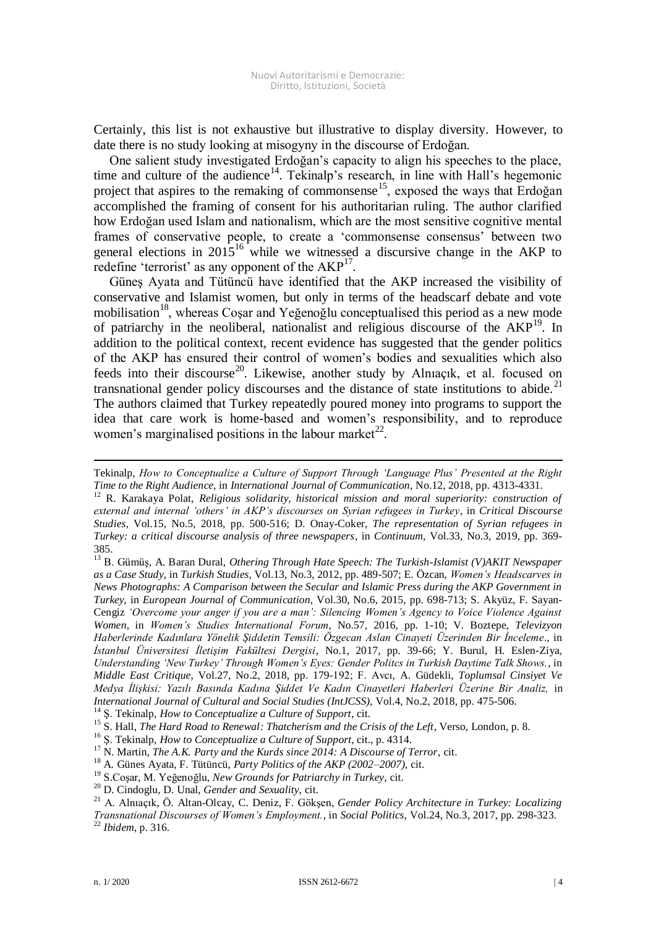Certainly, this list is not exhaustive but illustrative to display diversity. However, to date there is no study looking at misogyny in the discourse of Erdoğan.

One salient study investigated Erdoğan's capacity to align his speeches to the place, time and culture of the audience<sup>14</sup>. Tekinalp's research, in line with Hall's hegemonic project that aspires to the remaking of commonsense<sup>15</sup>, exposed the ways that Erdoğan accomplished the framing of consent for his authoritarian ruling. The author clarified how Erdoğan used Islam and nationalism, which are the most sensitive cognitive mental frames of conservative people, to create a 'commonsense consensus' between two general elections in  $2015^{16}$  while we witnessed a discursive change in the AKP to redefine 'terrorist' as any opponent of the  $AKP<sup>17</sup>$ .

Güneş Ayata and Tütüncü have identified that the AKP increased the visibility of conservative and Islamist women, but only in terms of the headscarf debate and vote mobilisation<sup>18</sup>, whereas Cosar and Yeğenoğlu conceptualised this period as a new mode of patriarchy in the neoliberal, nationalist and religious discourse of the AKP<sup>19</sup>. In addition to the political context, recent evidence has suggested that the gender politics of the AKP has ensured their control of women's bodies and sexualities which also feeds into their discourse<sup>20</sup>. Likewise, another study by Almaçık, et al. focused on transnational gender policy discourses and the distance of state institutions to abide.<sup>21</sup> The authors claimed that Turkey repeatedly poured money into programs to support the idea that care work is home-based and women's responsibility, and to reproduce women's marginalised positions in the labour market<sup>22</sup>.

Tekinalp, *How to Conceptualize a Culture of Support Through 'Language Plus' Presented at the Right Time to the Right Audience*, in *International Journal of Communication*, No.12, 2018, pp. 4313-4331.

<sup>12</sup> R. Karakaya Polat, *Religious solidarity, historical mission and moral superiority: construction of external and internal 'others' in AKP's discourses on Syrian refugees in Turkey*, in *Critical Discourse Studies*, Vol.15, No.5, 2018, pp. 500-516; D. Onay-Coker, *The representation of Syrian refugees in Turkey: a critical discourse analysis of three newspapers*, in *Continuum*, Vol.33, No.3, 2019, pp. 369- 385.

<sup>13</sup> B. Gümüş, A. Baran Dural, *Othering Through Hate Speech: The Turkish-Islamist (V)AKIT Newspaper as a Case Study*, in *Turkish Studies*, Vol.13, No.3, 2012, pp. 489-507; E. Özcan, *Women's Headscarves in News Photographs: A Comparison between the Secular and Islamic Press during the AKP Government in Turkey*, in *European Journal of Communication*, Vol.30, No.6, 2015, pp. 698-713; S. Akyüz, F. Sayan-Cengiz *'Overcome your anger if you are a man': Silencing Women's Agency to Voice Violence Against Women*, in *Women's Studies International Forum*, No.57, 2016, pp. 1-10; V. Boztepe, *Televizyon Haberlerinde Kadınlara Yönelik Şiddetin Temsili: Özgecan Aslan Cinayeti Üzerinden Bir İnceleme*., in *İstanbul Üniversitesi İletişim Fakültesi Dergisi*, No.1, 2017, pp. 39-66; Y. Burul, H. Eslen-Ziya, *Understanding 'New Turkey' Through Women's Eyes: Gender Politcs in Turkish Daytime Talk Shows.*, in *Middle East Critique*, Vol.27, No.2, 2018, pp. 179-192; F. Avcı, A. Güdekli, *Toplumsal Cinsiyet Ve Medya İlişkisi: Yazılı Basında Kadına Şiddet Ve Kadın Cinayetleri Haberleri Üzerine Bir Analiz,* in *International Journal of Cultural and Social Studies (IntJCSS)*, Vol.4, No.2, 2018, pp. 475-506.

<sup>14</sup> Ş. Tekinalp, *How to Conceptualize a Culture of Support*, cit.

<sup>15</sup> S. Hall, *The Hard Road to Renewal: Thatcherism and the Crisis of the Left*, Verso, London, p. 8.

<sup>16</sup> Ş. Tekinalp, *How to Conceptualize a Culture of Support*, cit., p. 4314.

-

<sup>&</sup>lt;sup>17</sup> N. Martin, *The A.K. Party and the Kurds since 2014: A Discourse of Terror*, cit.

<sup>18</sup> A. Günes Ayata, F. Tütüncü, *Party Politics of the AKP (2002–2007)*, cit.

<sup>19</sup> S.Coşar, M. Yeğenoğlu, *New Grounds for Patriarchy in Turkey*, cit.

<sup>20</sup> D. Cindoglu, D. Unal, *Gender and Sexuality*, cit.

<sup>21</sup> A. Alnıaçık, Ö. Altan-Olcay, C. Deniz, F. Gökşen, *Gender Policy Architecture in Turkey: Localizing Transnational Discourses of Women's Employment.*, in *Social Politics*, Vol.24, No.3, 2017, pp. 298-323. <sup>22</sup> *Ibidem*, p. 316.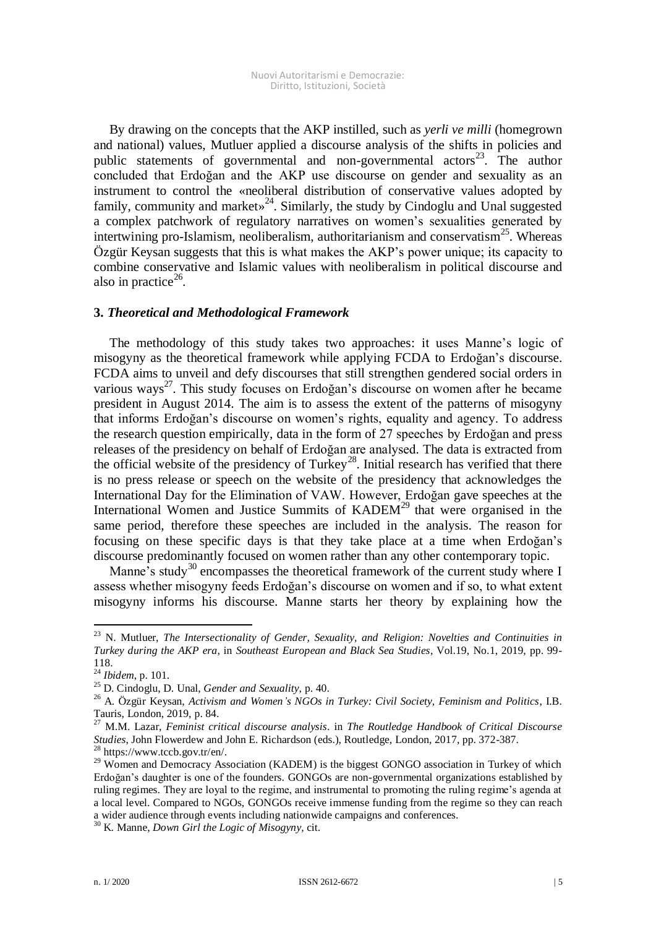By drawing on the concepts that the AKP instilled, such as *yerli ve milli* (homegrown and national) values, Mutluer applied a discourse analysis of the shifts in policies and public statements of governmental and non-governmental actors<sup>23</sup>. The author concluded that Erdoğan and the AKP use discourse on gender and sexuality as an instrument to control the «neoliberal distribution of conservative values adopted by family, community and market»<sup>24</sup>. Similarly, the study by Cindoglu and Unal suggested a complex patchwork of regulatory narratives on women's sexualities generated by intertwining pro-Islamism, neoliberalism, authoritarianism and conservatism<sup>25</sup>. Whereas Özgür Keysan suggests that this is what makes the AKP's power unique; its capacity to combine conservative and Islamic values with neoliberalism in political discourse and also in practice $26$ .

## **3.** *Theoretical and Methodological Framework*

The methodology of this study takes two approaches: it uses Manne's logic of misogyny as the theoretical framework while applying FCDA to Erdoğan's discourse. FCDA aims to unveil and defy discourses that still strengthen gendered social orders in various ways<sup>27</sup>. This study focuses on Erdoğan's discourse on women after he became president in August 2014. The aim is to assess the extent of the patterns of misogyny that informs Erdoğan's discourse on women's rights, equality and agency. To address the research question empirically, data in the form of 27 speeches by Erdoğan and press releases of the presidency on behalf of Erdoğan are analysed. The data is extracted from the official website of the presidency of Turkey<sup>28</sup>. Initial research has verified that there is no press release or speech on the website of the presidency that acknowledges the International Day for the Elimination of VAW. However, Erdoğan gave speeches at the International Women and Justice Summits of  $KADEM<sup>29</sup>$  that were organised in the same period, therefore these speeches are included in the analysis. The reason for focusing on these specific days is that they take place at a time when Erdoğan's discourse predominantly focused on women rather than any other contemporary topic.

Manne's study<sup>30</sup> encompasses the theoretical framework of the current study where I assess whether misogyny feeds Erdoğan's discourse on women and if so, to what extent misogyny informs his discourse. Manne starts her theory by explaining how the

-

<sup>23</sup> N. Mutluer, *The Intersectionality of Gender, Sexuality, and Religion: Novelties and Continuities in Turkey during the AKP era*, in *Southeast European and Black Sea Studies*, Vol.19, No.1, 2019, pp. 99- 118.

<sup>24</sup> *Ibidem*, p. 101.

<sup>25</sup> D. Cindoglu, D. Unal, *Gender and Sexuality*, p. 40.

<sup>26</sup> A. Özgür Keysan, *Activism and Women's NGOs in Turkey: Civil Society, Feminism and Politics*, I.B. Tauris, London, 2019, p. 84.

<sup>27</sup> M.M. Lazar, *Feminist critical discourse analysis*. in *The Routledge Handbook of Critical Discourse Studies*, John Flowerdew and John E. Richardson (eds.), Routledge, London, 2017, pp. 372-387. <sup>28</sup> https://www.tccb.gov.tr/en/.

 $29$  Women and Democracy Association (KADEM) is the biggest GONGO association in Turkey of which Erdoğan's daughter is one of the founders. GONGOs are non-governmental organizations established by ruling regimes. They are loyal to the regime, and instrumental to promoting the ruling regime's agenda at a local level. Compared to NGOs, GONGOs receive immense funding from the regime so they can reach a wider audience through events including nationwide campaigns and conferences.

<sup>30</sup> K. Manne, *Down Girl the Logic of Misogyny*, cit.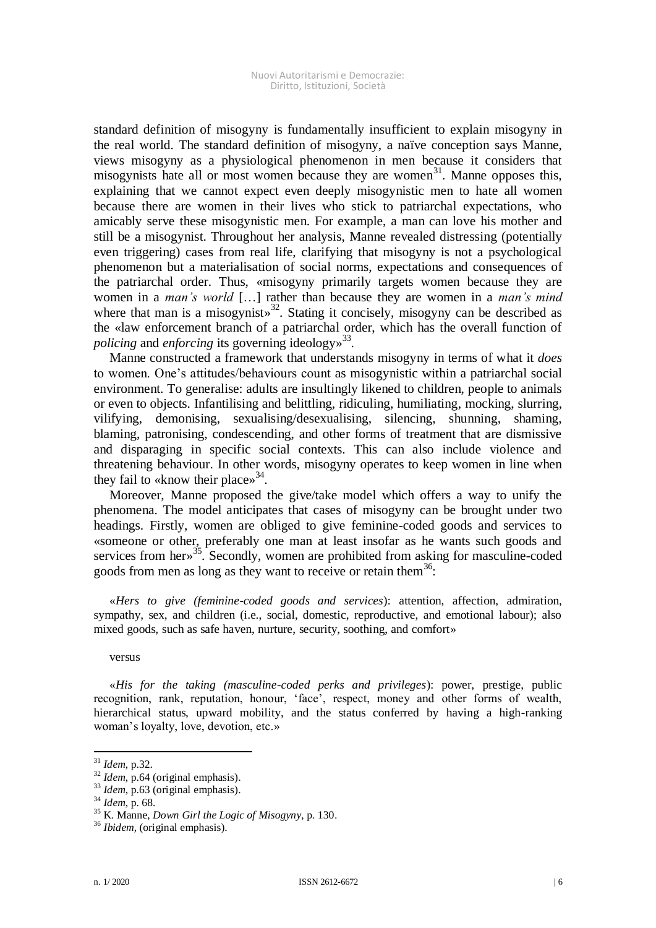standard definition of misogyny is fundamentally insufficient to explain misogyny in the real world. The standard definition of misogyny, a naïve conception says Manne, views misogyny as a physiological phenomenon in men because it considers that misogynists hate all or most women because they are women $31$ . Manne opposes this, explaining that we cannot expect even deeply misogynistic men to hate all women because there are women in their lives who stick to patriarchal expectations, who amicably serve these misogynistic men. For example, a man can love his mother and still be a misogynist. Throughout her analysis, Manne revealed distressing (potentially even triggering) cases from real life, clarifying that misogyny is not a psychological phenomenon but a materialisation of social norms, expectations and consequences of the patriarchal order. Thus, «misogyny primarily targets women because they are women in a *man's world* […] rather than because they are women in a *man's mind*  where that man is a misogynist»<sup>32</sup>. Stating it concisely, misogyny can be described as the «law enforcement branch of a patriarchal order, which has the overall function of *policing* and *enforcing* its governing ideology» 33 .

Manne constructed a framework that understands misogyny in terms of what it *does* to women. One's attitudes/behaviours count as misogynistic within a patriarchal social environment. To generalise: adults are insultingly likened to children, people to animals or even to objects. Infantilising and belittling, ridiculing, humiliating, mocking, slurring, vilifying, demonising, sexualising/desexualising, silencing, shunning, shaming, blaming, patronising, condescending, and other forms of treatment that are dismissive and disparaging in specific social contexts. This can also include violence and threatening behaviour. In other words, misogyny operates to keep women in line when they fail to «know their place» $34$ .

Moreover, Manne proposed the give/take model which offers a way to unify the phenomena. The model anticipates that cases of misogyny can be brought under two headings. Firstly, women are obliged to give feminine-coded goods and services to «someone or other, preferably one man at least insofar as he wants such goods and services from her»<sup>35</sup>. Secondly, women are prohibited from asking for masculine-coded goods from men as long as they want to receive or retain them<sup>36</sup>:

«*Hers to give (feminine-coded goods and services*): attention, affection, admiration, sympathy, sex, and children (i.e., social, domestic, reproductive, and emotional labour); also mixed goods, such as safe haven, nurture, security, soothing, and comfort»

versus

«*His for the taking (masculine-coded perks and privileges*): power, prestige, public recognition, rank, reputation, honour, 'face', respect, money and other forms of wealth, hierarchical status, upward mobility, and the status conferred by having a high-ranking woman's loyalty, love, devotion, etc.»

<sup>31</sup> *Idem*, p.32.

<sup>32</sup> *Idem*, p.64 (original emphasis).

<sup>33</sup> *Idem*, p.63 (original emphasis).

<sup>34</sup> *Idem*, p. 68.

<sup>35</sup> K. Manne, *Down Girl the Logic of Misogyny*, p. 130.

<sup>36</sup> *Ibidem*, (original emphasis).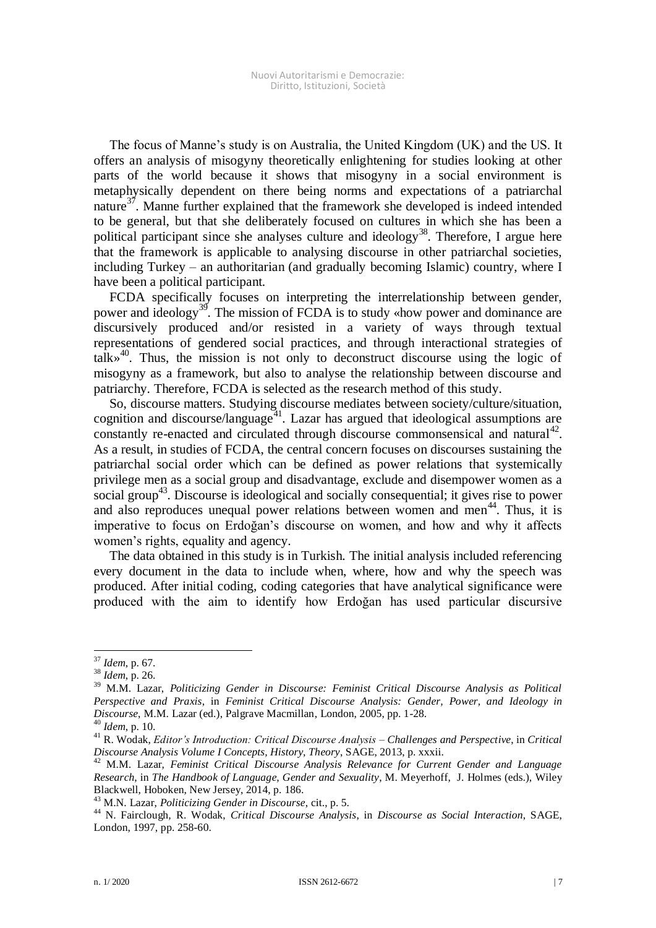The focus of Manne's study is on Australia, the United Kingdom (UK) and the US. It offers an analysis of misogyny theoretically enlightening for studies looking at other parts of the world because it shows that misogyny in a social environment is metaphysically dependent on there being norms and expectations of a patriarchal nature<sup>37</sup>. Manne further explained that the framework she developed is indeed intended to be general, but that she deliberately focused on cultures in which she has been a political participant since she analyses culture and ideology<sup>38</sup>. Therefore, I argue here that the framework is applicable to analysing discourse in other patriarchal societies, including Turkey – an authoritarian (and gradually becoming Islamic) country, where I have been a political participant.

FCDA specifically focuses on interpreting the interrelationship between gender, power and ideology<sup>39</sup>. The mission of FCDA is to study «how power and dominance are discursively produced and/or resisted in a variety of ways through textual representations of gendered social practices, and through interactional strategies of talk» 40 . Thus, the mission is not only to deconstruct discourse using the logic of misogyny as a framework, but also to analyse the relationship between discourse and patriarchy. Therefore, FCDA is selected as the research method of this study.

So, discourse matters. Studying discourse mediates between society/culture/situation, cognition and discourse/language<sup>41</sup>. Lazar has argued that ideological assumptions are constantly re-enacted and circulated through discourse commonsensical and natural<sup>42</sup>. As a result, in studies of FCDA, the central concern focuses on discourses sustaining the patriarchal social order which can be defined as power relations that systemically privilege men as a social group and disadvantage, exclude and disempower women as a social group<sup>43</sup>. Discourse is ideological and socially consequential; it gives rise to power and also reproduces unequal power relations between women and men<sup>44</sup>. Thus, it is imperative to focus on Erdoğan's discourse on women, and how and why it affects women's rights, equality and agency.

The data obtained in this study is in Turkish. The initial analysis included referencing every document in the data to include when, where, how and why the speech was produced. After initial coding, coding categories that have analytical significance were produced with the aim to identify how Erdoğan has used particular discursive

<sup>37</sup> *Idem*, p. 67.

<sup>38</sup> *Idem*, p. 26.

<sup>39</sup> M.M. Lazar, *Politicizing Gender in Discourse: Feminist Critical Discourse Analysis as Political Perspective and Praxis*, in *Feminist Critical Discourse Analysis: Gender, Power, and Ideology in Discourse*, M.M. Lazar (ed.), Palgrave Macmillan, London, 2005, pp. 1-28.

<sup>40</sup> *Idem*, p. 10.

<sup>41</sup> R. Wodak, *Editor's Introduction: Critical Discourse Analysis – Challenges and Perspective*, in *Critical Discourse Analysis Volume I Concepts, History, Theory*, SAGE, 2013, p. xxxii.

<sup>42</sup> M.M. Lazar, *Feminist Critical Discourse Analysis Relevance for Current Gender and Language Research*, in *The Handbook of Language, Gender and Sexuality*, M. Meyerhoff*,* J. Holmes (eds.), Wiley Blackwell, Hoboken, New Jersey, 2014, p. 186.

<sup>43</sup> M.N. Lazar, *Politicizing Gender in Discourse*, cit., p. 5.

<sup>44</sup> N. Fairclough*,* R. Wodak, *Critical Discourse Analysis*, in *Discourse as Social Interaction*, SAGE, London, 1997, pp. 258-60.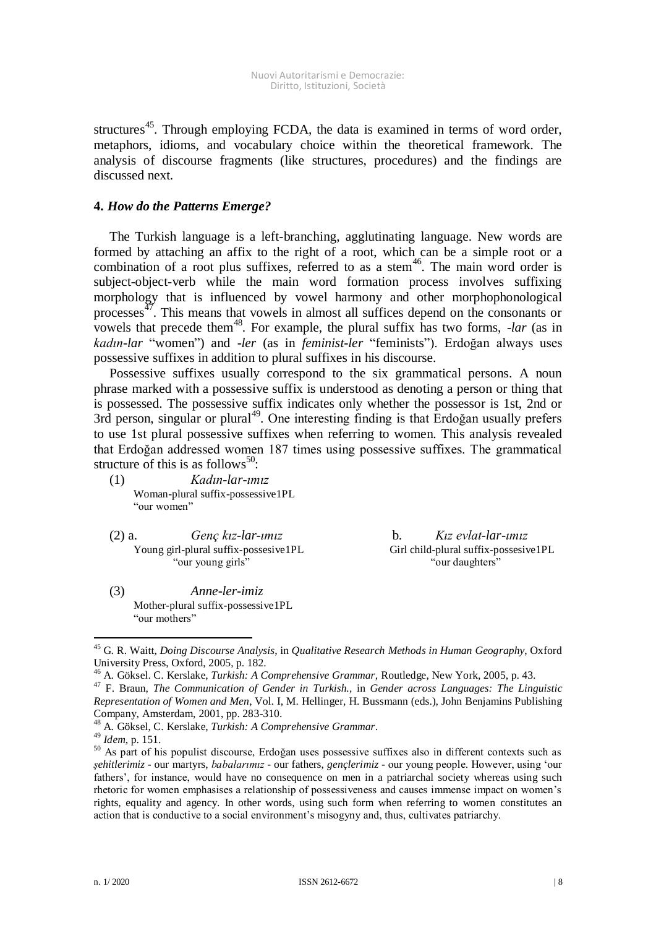structures<sup>45</sup>. Through employing FCDA, the data is examined in terms of word order, metaphors, idioms, and vocabulary choice within the theoretical framework. The analysis of discourse fragments (like structures, procedures) and the findings are discussed next.

# **4.** *How do the Patterns Emerge?*

The Turkish language is a left-branching, agglutinating language. New words are formed by attaching an affix to the right of a root, which can be a simple root or a combination of a root plus suffixes, referred to as a stem $46$ . The main word order is subject-object-verb while the main word formation process involves suffixing morphology that is influenced by vowel harmony and other morphophonological processes<sup>47</sup>. This means that vowels in almost all suffices depend on the consonants or vowels that precede them<sup>48</sup>. For example, the plural suffix has two forms, *-lar* (as in *kadın*-*lar* "women") and *-ler* (as in *feminist*-*ler* "feminists"). Erdoğan always uses possessive suffixes in addition to plural suffixes in his discourse.

Possessive suffixes usually correspond to the six grammatical persons. A noun phrase marked with a possessive suffix is understood as denoting a person or thing that is possessed. The possessive suffix indicates only whether the possessor is 1st, 2nd or 3rd person, singular or plural<sup>49</sup>. One interesting finding is that Erdoğan usually prefers to use 1st plural possessive suffixes when referring to women. This analysis revealed that Erdoğan addressed women 187 times using possessive suffixes. The grammatical structure of this is as follows<sup>50</sup>:

- (1) *Kadın-lar-ımız*  Woman-plural suffix-possessive1PL "our women"
- (2) a. *Genç kız-lar-ımız* b. *Kız evlat-lar-ımız*  Young girl-plural suffix-possesive1PL Girl child-plural suffix-possesive1PL "our young girls" "our daughters"

(3) *Anne-ler-imiz* Mother-plural suffix-possessive1PL "our mothers"

<sup>45</sup> G. R. Waitt, *Doing Discourse Analysis*, in *Qualitative Research Methods in Human Geography*, Oxford University Press, Oxford, 2005, p. 182.

<sup>46</sup> A. Göksel. C. Kerslake, *Turkish: A Comprehensive Grammar*, Routledge, New York, 2005, p. 43.

<sup>47</sup> F. Braun, *The Communication of Gender in Turkish.,* in *Gender across Languages: The Linguistic Representation of Women and Men*, Vol. I, M. Hellinger*,* H. Bussmann (eds.), John Benjamins Publishing Company, Amsterdam, 2001, pp. 283-310.

<sup>48</sup> A. Göksel, C. Kerslake, *Turkish: A Comprehensive Grammar*.

<sup>49</sup> *Idem*, p. 151.

<sup>&</sup>lt;sup>50</sup> As part of his populist discourse, Erdoğan uses possessive suffixes also in different contexts such as *şehitlerimiz* - our martyrs, *babalarımız* - our fathers, *gençlerimiz* - our young people. However, using 'our fathers', for instance, would have no consequence on men in a patriarchal society whereas using such rhetoric for women emphasises a relationship of possessiveness and causes immense impact on women's rights, equality and agency. In other words, using such form when referring to women constitutes an action that is conductive to a social environment's misogyny and, thus, cultivates patriarchy.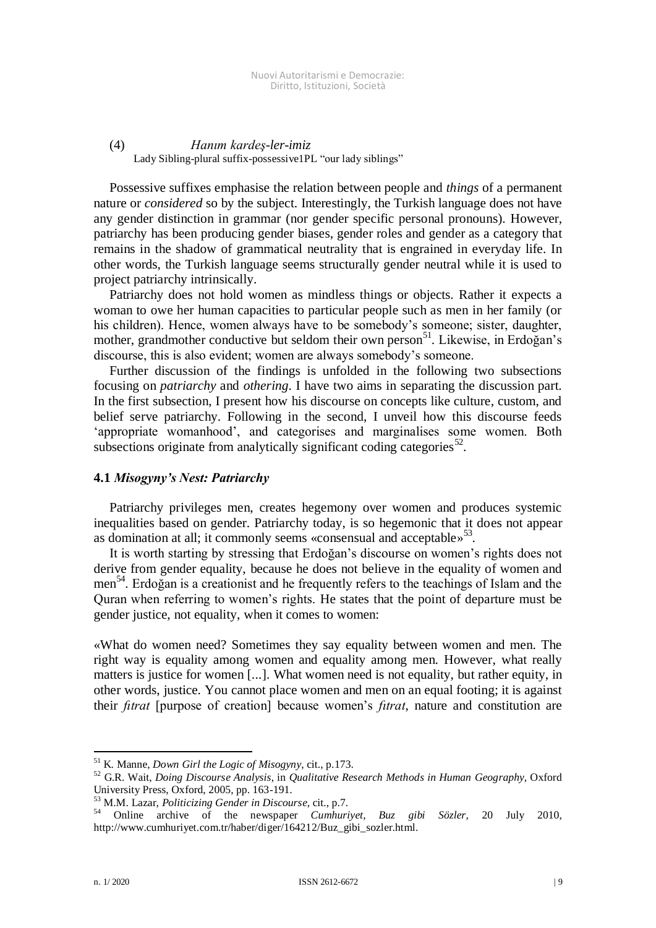# (4) *Hanım kardeş-ler-imiz*  Lady Sibling-plural suffix-possessive1PL "our lady siblings"

Possessive suffixes emphasise the relation between people and *things* of a permanent nature or *considered* so by the subject. Interestingly, the Turkish language does not have any gender distinction in grammar (nor gender specific personal pronouns). However, patriarchy has been producing gender biases, gender roles and gender as a category that remains in the shadow of grammatical neutrality that is engrained in everyday life. In other words, the Turkish language seems structurally gender neutral while it is used to project patriarchy intrinsically.

Patriarchy does not hold women as mindless things or objects. Rather it expects a woman to owe her human capacities to particular people such as men in her family (or his children). Hence, women always have to be somebody's someone; sister, daughter, mother, grandmother conductive but seldom their own person<sup>51</sup>. Likewise, in Erdoğan's discourse, this is also evident; women are always somebody's someone.

Further discussion of the findings is unfolded in the following two subsections focusing on *patriarchy* and *othering*. I have two aims in separating the discussion part. In the first subsection, I present how his discourse on concepts like culture, custom, and belief serve patriarchy. Following in the second, I unveil how this discourse feeds 'appropriate womanhood', and categorises and marginalises some women. Both subsections originate from analytically significant coding categories<sup>52</sup>.

## **4.1** *Misogyny's Nest: Patriarchy*

Patriarchy privileges men, creates hegemony over women and produces systemic inequalities based on gender. Patriarchy today, is so hegemonic that it does not appear as domination at all; it commonly seems «consensual and acceptable» 53 .

It is worth starting by stressing that Erdoğan's discourse on women's rights does not derive from gender equality, because he does not believe in the equality of women and men<sup>54</sup>. Erdoğan is a creationist and he frequently refers to the teachings of Islam and the Quran when referring to women's rights. He states that the point of departure must be gender justice, not equality, when it comes to women:

«What do women need? Sometimes they say equality between women and men. The right way is equality among women and equality among men. However, what really matters is justice for women [...]. What women need is not equality, but rather equity, in other words, justice. You cannot place women and men on an equal footing; it is against their *fıtrat* [purpose of creation] because women's *fıtrat*, nature and constitution are

<sup>51</sup> K. Manne, *Down Girl the Logic of Misogyny*, cit., p.173.

<sup>52</sup> G.R. Wait, *Doing Discourse Analysis*, in *Qualitative Research Methods in Human Geography*, Oxford University Press, Oxford, 2005, pp. 163-191.

<sup>53</sup> M.M. Lazar, *Politicizing Gender in Discourse*, cit., p.7.

<sup>54</sup> Online archive of the newspaper *Cumhuriyet*, *Buz gibi Sözler,* 20 July 2010, http://www.cumhuriyet.com.tr/haber/diger/164212/Buz\_gibi\_sozler.html.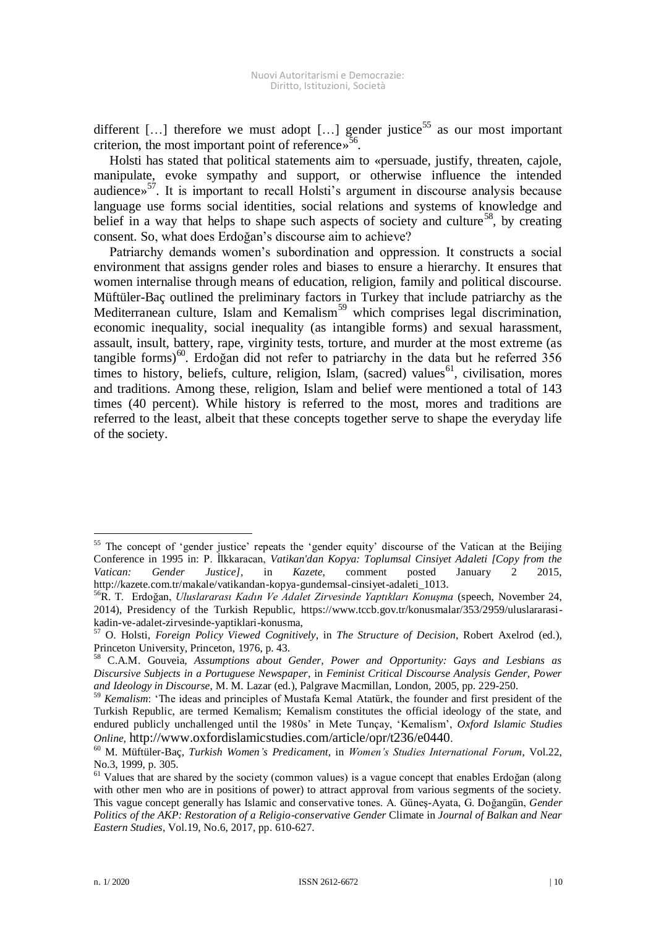different  $[\dots]$  therefore we must adopt  $[\dots]$  gender justice<sup>55</sup> as our most important criterion, the most important point of reference»<sup>56</sup>.

Holsti has stated that political statements aim to «persuade, justify, threaten, cajole, manipulate, evoke sympathy and support, or otherwise influence the intended audience» 57 . It is important to recall Holsti's argument in discourse analysis because language use forms social identities, social relations and systems of knowledge and belief in a way that helps to shape such aspects of society and culture<sup>58</sup>, by creating consent. So, what does Erdoğan's discourse aim to achieve?

Patriarchy demands women's subordination and oppression. It constructs a social environment that assigns gender roles and biases to ensure a hierarchy. It ensures that women internalise through means of education, religion, family and political discourse. Müftüler-Baç outlined the preliminary factors in Turkey that include patriarchy as the Mediterranean culture, Islam and Kemalism<sup>59</sup> which comprises legal discrimination, economic inequality, social inequality (as intangible forms) and sexual harassment, assault, insult, battery, rape, virginity tests, torture, and murder at the most extreme (as tangible forms) $60$ . Erdoğan did not refer to patriarchy in the data but he referred 356 times to history, beliefs, culture, religion, Islam, (sacred) values<sup>61</sup>, civilisation, mores and traditions. Among these, religion, Islam and belief were mentioned a total of 143 times (40 percent). While history is referred to the most, mores and traditions are referred to the least, albeit that these concepts together serve to shape the everyday life of the society.

<sup>&</sup>lt;sup>55</sup> The concept of 'gender justice' repeats the 'gender equity' discourse of the Vatican at the Beijing Conference in 1995 in: P. İlkkaracan, *Vatikan'dan Kopya: Toplumsal Cinsiyet Adaleti [Copy from the Vatican: Gender Justice],* in *Kazete*, comment posted January 2 2015, http://kazete.com.tr/makale/vatikandan-kopya-gundemsal-cinsiyet-adaleti\_1013.

<sup>56</sup>R. T. Erdoğan, *Uluslararası Kadın Ve Adalet Zirvesinde Yaptıkları Konuşma* (speech, November 24, 2014), Presidency of the Turkish Republic, https://www.tccb.gov.tr/konusmalar/353/2959/uluslararasikadin-ve-adalet-zirvesinde-yaptiklari-konusma,

<sup>57</sup> O. Holsti, *Foreign Policy Viewed Cognitively*, in *The Structure of Decision*, Robert Axelrod (ed.), Princeton University, Princeton, 1976, p. 43.

<sup>58</sup> C.A.M. Gouveia, *Assumptions about Gender, Power and Opportunity: Gays and Lesbians as Discursive Subjects in a Portuguese Newspaper*, in *Feminist Critical Discourse Analysis Gender, Power and Ideology in Discourse*, M. M. Lazar (ed.), Palgrave Macmillan, London, 2005, pp. 229-250.

<sup>59</sup> *Kemalism*: 'The ideas and principles of Mustafa Kemal Atatürk, the founder and first president of the Turkish Republic, are termed Kemalism; Kemalism constitutes the official ideology of the state, and endured publicly unchallenged until the 1980s' in Mete Tunçay, 'Kemalism', *Oxford Islamic Studies Online,* http://www.oxfordislamicstudies.com/article/opr/t236/e0440.

<sup>60</sup> M. Müftüler-Baç, *Turkish Women's Predicament,* in *Women's Studies International Forum*, Vol.22, No.3, 1999, p. 305.

<sup>&</sup>lt;sup>61</sup> Values that are shared by the society (common values) is a vague concept that enables Erdoğan (along with other men who are in positions of power) to attract approval from various segments of the society. This vague concept generally has Islamic and conservative tones. A. Güneş-Ayata, G. Doğangün, *Gender Politics of the AKP: Restoration of a Religio-conservative Gender* Climate in *Journal of Balkan and Near Eastern Studies*, Vol.19, No.6, 2017, pp. 610-627.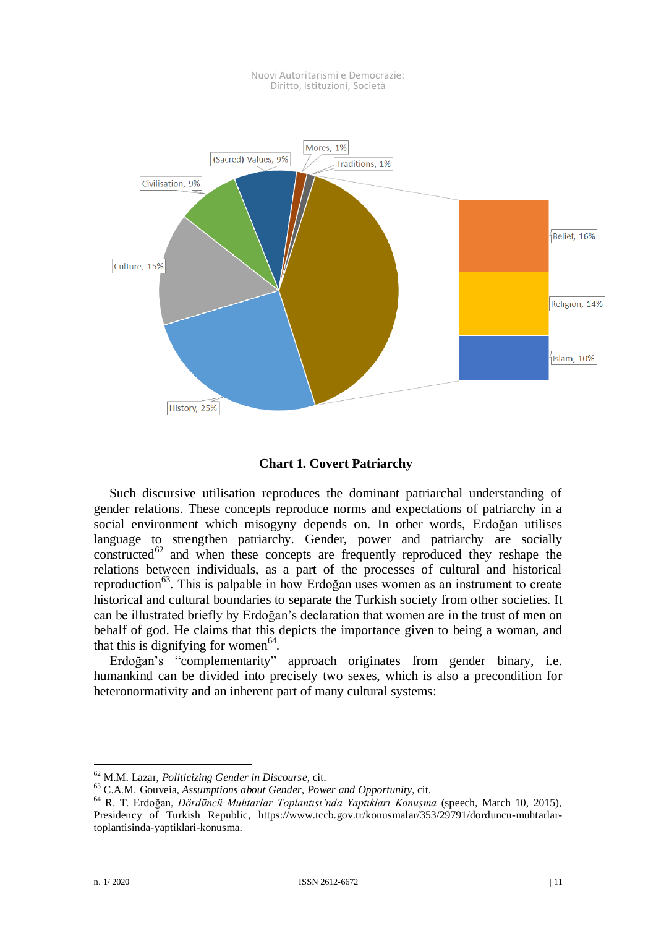

#### Nuovi Autoritarismi e Democrazie: Diritto, Istituzioni, Società

# **Chart 1. Covert Patriarchy**

Such discursive utilisation reproduces the dominant patriarchal understanding of gender relations. These concepts reproduce norms and expectations of patriarchy in a social environment which misogyny depends on. In other words, Erdoğan utilises language to strengthen patriarchy. Gender, power and patriarchy are socially constructed $62$  and when these concepts are frequently reproduced they reshape the relations between individuals, as a part of the processes of cultural and historical reproduction<sup>63</sup>. This is palpable in how Erdoğan uses women as an instrument to create historical and cultural boundaries to separate the Turkish society from other societies. It can be illustrated briefly by Erdoğan's declaration that women are in the trust of men on behalf of god. He claims that this depicts the importance given to being a woman, and that this is dignifying for women $64$ .

Erdoğan's "complementarity" approach originates from gender binary, i.e. humankind can be divided into precisely two sexes, which is also a precondition for heteronormativity and an inherent part of many cultural systems:

<sup>62</sup> M.M. Lazar, *Politicizing Gender in Discourse*, cit.

<sup>63</sup> C.A.M. Gouveia, *Assumptions about Gender, Power and Opportunity*, cit.

<sup>64</sup> R. T. Erdoğan, *Dördüncü Muhtarlar Toplantısı'nda Yaptıkları Konuşma* (speech, March 10, 2015), Presidency of Turkish Republic*,* https://www.tccb.gov.tr/konusmalar/353/29791/dorduncu-muhtarlartoplantisinda-yaptiklari-konusma.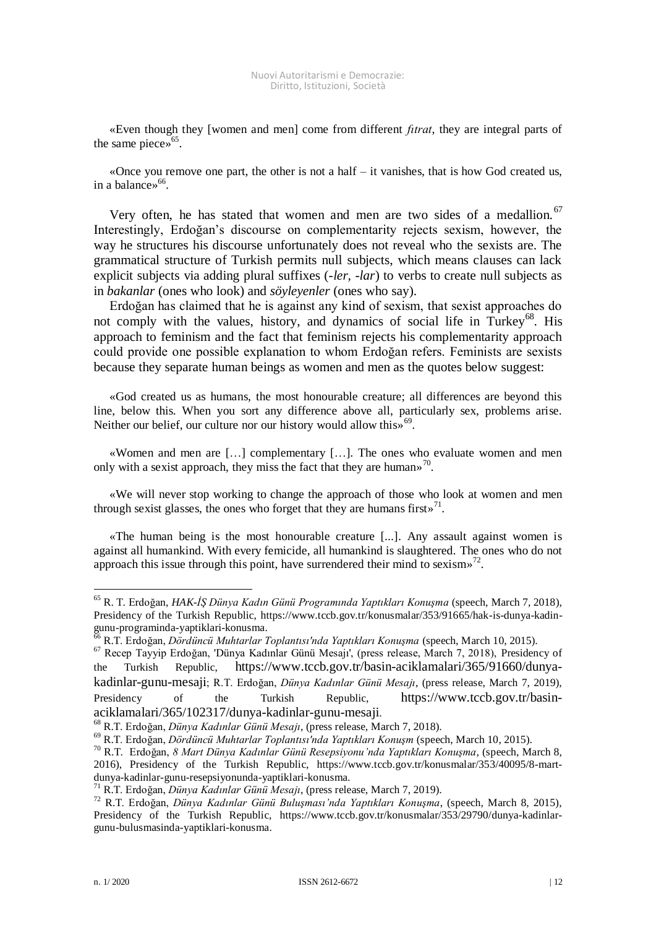«Even though they [women and men] come from different *fıtrat*, they are integral parts of the same piece» 65 .

«Once you remove one part, the other is not a half  $-$  it vanishes, that is how God created us, in a balance» 66 .

Very often, he has stated that women and men are two sides of a medallion.<sup>67</sup> Interestingly, Erdoğan's discourse on complementarity rejects sexism, however, the way he structures his discourse unfortunately does not reveal who the sexists are. The grammatical structure of Turkish permits null subjects, which means clauses can lack explicit subjects via adding plural suffixes (*-ler, -lar*) to verbs to create null subjects as in *bakanlar* (ones who look) and *söyleyenler* (ones who say).

Erdoğan has claimed that he is against any kind of sexism, that sexist approaches do not comply with the values, history, and dynamics of social life in Turkey<sup>68</sup>. His approach to feminism and the fact that feminism rejects his complementarity approach could provide one possible explanation to whom Erdoğan refers. Feminists are sexists because they separate human beings as women and men as the quotes below suggest:

«God created us as humans, the most honourable creature; all differences are beyond this line, below this. When you sort any difference above all, particularly sex, problems arise. Neither our belief, our culture nor our history would allow this»<sup>69</sup>.

«Women and men are […] complementary […]. The ones who evaluate women and men only with a sexist approach, they miss the fact that they are human»<sup>70</sup>.

«We will never stop working to change the approach of those who look at women and men through sexist glasses, the ones who forget that they are humans firsts<sup>71</sup>.

«The human being is the most honourable creature [...]. Any assault against women is against all humankind. With every femicide, all humankind is slaughtered. The ones who do not approach this issue through this point, have surrendered their mind to sexism»<sup>72</sup>.

-

<sup>65</sup> R. T. Erdoğan, *HAK-İŞ Dünya Kadın Günü Programında Yaptıkları Konuşma* (speech, March 7, 2018), Presidency of the Turkish Republic, https://www.tccb.gov.tr/konusmalar/353/91665/hak-is-dunya-kadingunu-programinda-yaptiklari-konusma.

<sup>66</sup> R.T. Erdoğan, *Dördüncü Muhtarlar Toplantısı'nda Yaptıkları Konuşma* (speech, March 10, 2015).

<sup>67</sup> Recep Tayyip Erdoğan, 'Dünya Kadınlar Günü Mesajı', (press release, March 7, 2018), Presidency of the Turkish Republic, https://www.tccb.gov.tr/basin-aciklamalari/365/91660/dunyakadinlar-gunu-mesaji; R.T. Erdoğan, *Dünya Kadınlar Günü Mesajı*, (press release, March 7, 2019), Presidency of the Turkish Republic, https://www.tccb.gov.tr/basinaciklamalari/365/102317/dunya-kadinlar-gunu-mesaji.

<sup>68</sup> R.T. Erdoğan, *Dünya Kadınlar Günü Mesajı*, (press release, March 7, 2018).

<sup>69</sup> R.T. Erdoğan, *Dördüncü Muhtarlar Toplantısı'nda Yaptıkları Konuşm* (speech, March 10, 2015).

<sup>70</sup> R.T. Erdoğan, *8 Mart Dünya Kadınlar Günü Resepsiyonu'nda Yaptıkları Konuşma*, (speech, March 8, 2016), Presidency of the Turkish Republic, https://www.tccb.gov.tr/konusmalar/353/40095/8-martdunya-kadinlar-gunu-resepsiyonunda-yaptiklari-konusma.

<sup>71</sup> R.T. Erdoğan, *Dünya Kadınlar Günü Mesajı*, (press release, March 7, 2019).

<sup>72</sup> R.T. Erdoğan, *Dünya Kadınlar Günü Buluşması'nda Yaptıkları Konuşma*, (speech, March 8, 2015), Presidency of the Turkish Republic, https://www.tccb.gov.tr/konusmalar/353/29790/dunya-kadinlargunu-bulusmasinda-yaptiklari-konusma.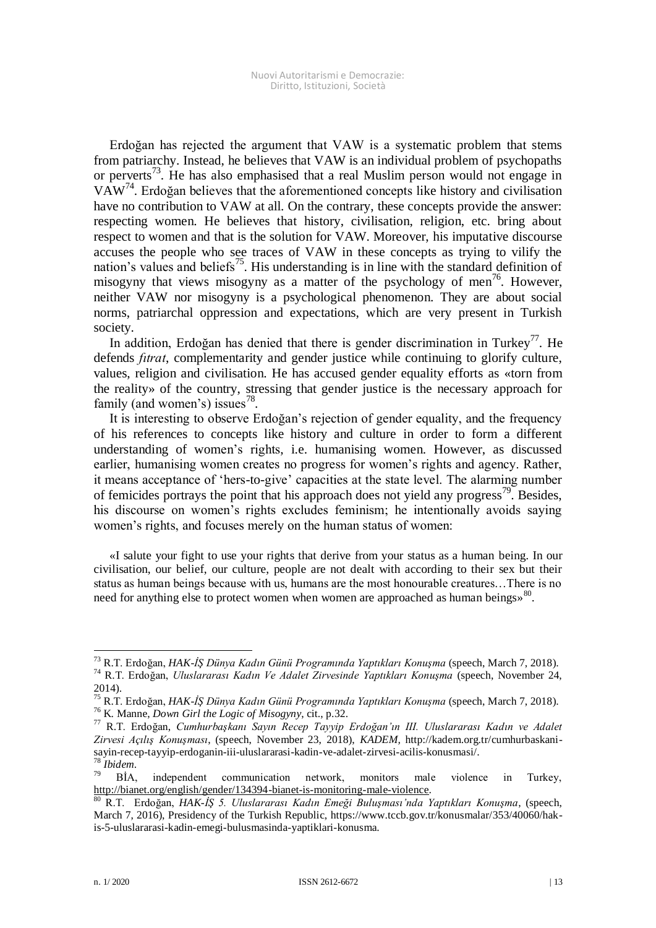Erdoğan has rejected the argument that VAW is a systematic problem that stems from patriarchy. Instead, he believes that VAW is an individual problem of psychopaths or perverts<sup>73</sup>. He has also emphasised that a real Muslim person would not engage in  $VAW<sup>74</sup>$ . Erdoğan believes that the aforementioned concepts like history and civilisation have no contribution to VAW at all. On the contrary, these concepts provide the answer: respecting women. He believes that history, civilisation, religion, etc. bring about respect to women and that is the solution for VAW. Moreover, his imputative discourse accuses the people who see traces of VAW in these concepts as trying to vilify the nation's values and beliefs<sup>75</sup>. His understanding is in line with the standard definition of misogyny that views misogyny as a matter of the psychology of men<sup>76</sup>. However, neither VAW nor misogyny is a psychological phenomenon. They are about social norms, patriarchal oppression and expectations, which are very present in Turkish society.

In addition, Erdoğan has denied that there is gender discrimination in Turkey<sup>77</sup>. He defends *fıtrat*, complementarity and gender justice while continuing to glorify culture, values, religion and civilisation. He has accused gender equality efforts as «torn from the reality» of the country, stressing that gender justice is the necessary approach for family (and women's) issues<sup>78</sup>.

It is interesting to observe Erdoğan's rejection of gender equality, and the frequency of his references to concepts like history and culture in order to form a different understanding of women's rights, i.e. humanising women. However, as discussed earlier, humanising women creates no progress for women's rights and agency. Rather, it means acceptance of 'hers-to-give' capacities at the state level. The alarming number of femicides portrays the point that his approach does not yield any progress<sup>79</sup>. Besides, his discourse on women's rights excludes feminism; he intentionally avoids saying women's rights, and focuses merely on the human status of women:

«I salute your fight to use your rights that derive from your status as a human being. In our civilisation, our belief, our culture, people are not dealt with according to their sex but their status as human beings because with us, humans are the most honourable creatures…There is no need for anything else to protect women when women are approached as human beings»<sup>80</sup>.

<sup>73</sup> R.T. Erdoğan, *HAK-İŞ Dünya Kadın Günü Programında Yaptıkları Konuşma* (speech, March 7, 2018). <sup>74</sup> R.T. Erdoğan, *Uluslararası Kadın Ve Adalet Zirvesinde Yaptıkları Konuşma* (speech, November 24, 2014).

<sup>75</sup> R.T. Erdoğan, *HAK-İŞ Dünya Kadın Günü Programında Yaptıkları Konuşma* (speech, March 7, 2018). <sup>76</sup> K. Manne, *Down Girl the Logic of Misogyny*, cit., p.32.

<sup>77</sup> R.T. Erdoğan, *Cumhurbaşkanı Sayın Recep Tayyip Erdoğan'ın III. Uluslararası Kadın ve Adalet Zirvesi Açılış Konuşması*, (speech, November 23, 2018), *KADEM,* http://kadem.org.tr/cumhurbaskanisayin-recep-tayyip-erdoganin-iii-uluslararasi-kadin-ve-adalet-zirvesi-acilis-konusmasi/.

 $\frac{78}{79}$ *Ibidem.*<br>BIA. independent communication network, monitors male violence in Turkey, [http://bianet.org/english/gender/134394-bianet-is-monitoring-male-violence.](http://bianet.org/english/gender/134394-bianet-is-monitoring-male-violence)

<sup>80</sup> R.T. Erdoğan, *HAK-İŞ 5. Uluslararası Kadın Emeği Buluşması'nda Yaptıkları Konuşma*, (speech, March 7, 2016), Presidency of the Turkish Republic, https://www.tccb.gov.tr/konusmalar/353/40060/hakis-5-uluslararasi-kadin-emegi-bulusmasinda-yaptiklari-konusma.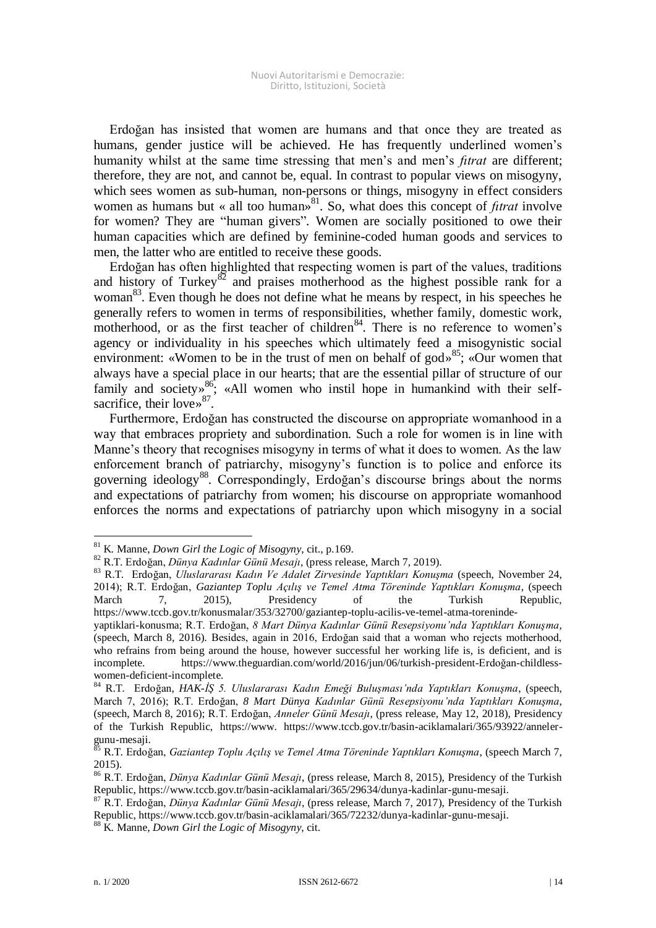Erdoğan has insisted that women are humans and that once they are treated as humans, gender justice will be achieved. He has frequently underlined women's humanity whilst at the same time stressing that men's and men's *fıtrat* are different; therefore, they are not, and cannot be, equal. In contrast to popular views on misogyny, which sees women as sub-human, non-persons or things, misogyny in effect considers women as humans but « all too human<sup>§81</sup>. So, what does this concept of *fitrat* involve for women? They are "human givers"*.* Women are socially positioned to owe their human capacities which are defined by feminine-coded human goods and services to men, the latter who are entitled to receive these goods.

Erdoğan has often highlighted that respecting women is part of the values, traditions and history of Turkey<sup>82</sup> and praises motherhood as the highest possible rank for a woman<sup>83</sup>. Even though he does not define what he means by respect, in his speeches he generally refers to women in terms of responsibilities, whether family, domestic work, motherhood, or as the first teacher of children<sup>84</sup>. There is no reference to women's agency or individuality in his speeches which ultimately feed a misogynistic social environment: «Women to be in the trust of men on behalf of god»<sup>85</sup>; «Our women that always have a special place in our hearts; that are the essential pillar of structure of our family and society»<sup>86</sup>; «All women who instil hope in humankind with their selfsacrifice, their love»<sup>87</sup>.

Furthermore, Erdoğan has constructed the discourse on appropriate womanhood in a way that embraces propriety and subordination. Such a role for women is in line with Manne's theory that recognises misogyny in terms of what it does to women. As the law enforcement branch of patriarchy, misogyny's function is to police and enforce its governing ideology<sup>88</sup>. Correspondingly, Erdoğan's discourse brings about the norms and expectations of patriarchy from women; his discourse on appropriate womanhood enforces the norms and expectations of patriarchy upon which misogyny in a social

<sup>81</sup> K. Manne, *Down Girl the Logic of Misogyny*, cit., p.169.

<sup>82</sup> R.T. Erdoğan, *Dünya Kadınlar Günü Mesajı*, (press release, March 7, 2019).

<sup>83</sup> R.T. Erdoğan, *Uluslararası Kadın Ve Adalet Zirvesinde Yaptıkları Konuşma* (speech, November 24, 2014); R.T. Erdoğan, *Gaziantep Toplu Açılış ve Temel Atma Töreninde Yaptıkları Konuşma*, (speech March 7, 2015), Presidency of the Turkish Republic, https://www.tccb.gov.tr/konusmalar/353/32700/gaziantep-toplu-acilis-ve-temel-atma-toreninde-

yaptiklari-konusma; R.T. Erdoğan, *8 Mart Dünya Kadınlar Günü Resepsiyonu'nda Yaptıkları Konuşma*, (speech, March 8, 2016). Besides, again in 2016, Erdoğan said that a woman who rejects motherhood, who refrains from being around the house, however successful her working life is, is deficient, and is incomplete. https://www.theguardian.com/world/2016/jun/06/turkish-president-Erdoğan-childlesswomen-deficient-incomplete.

<sup>84</sup> R.T. Erdoğan*, HAK-İŞ 5. Uluslararası Kadın Emeği Buluşması'nda Yaptıkları Konuşma*, (speech, March 7, 2016); R.T. Erdoğan, *8 Mart Dünya Kadınlar Günü Resepsiyonu'nda Yaptıkları Konuşma*, (speech, March 8, 2016); R.T. Erdoğan, *Anneler Günü Mesajı*, (press release, May 12, 2018), Presidency of the Turkish Republic, https://www. https://www.tccb.gov.tr/basin-aciklamalari/365/93922/annelergunu-mesaji.

<sup>85</sup> R.T. Erdoğan, *Gaziantep Toplu Açılış ve Temel Atma Töreninde Yaptıkları Konuşma*, (speech March 7, 2015).

<sup>86</sup> R.T. Erdoğan, *Dünya Kadınlar Günü Mesajı*, (press release, March 8, 2015), Presidency of the Turkish Republic, https://www.tccb.gov.tr/basin-aciklamalari/365/29634/dunya-kadinlar-gunu-mesaji.

<sup>87</sup> R.T. Erdoğan, *Dünya Kadınlar Günü Mesajı*, (press release, March 7, 2017), Presidency of the Turkish Republic, https://www.tccb.gov.tr/basin-aciklamalari/365/72232/dunya-kadinlar-gunu-mesaji.

<sup>88</sup> K. Manne, *Down Girl the Logic of Misogyny*, cit.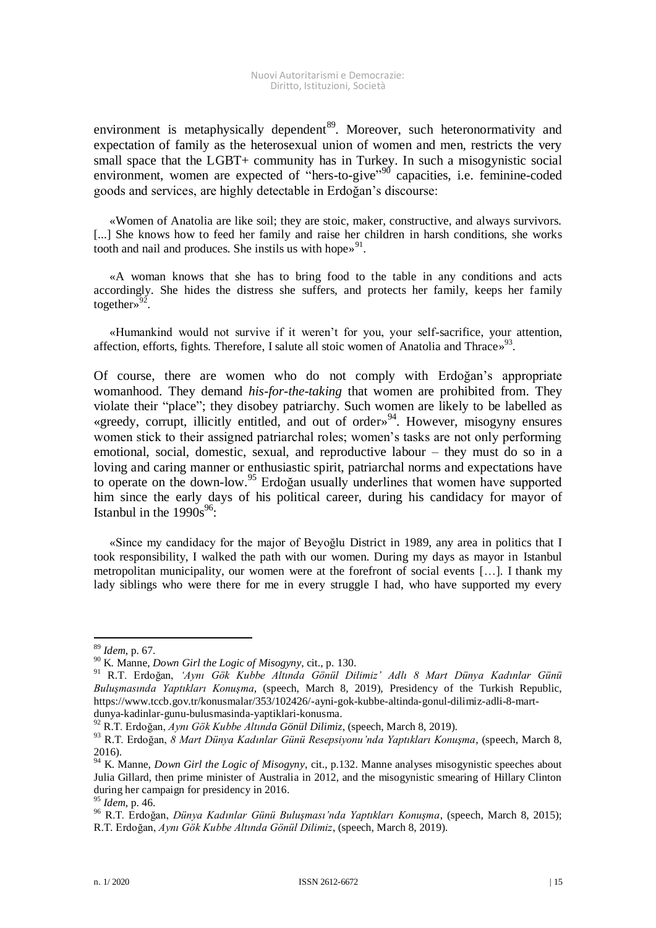environment is metaphysically dependent<sup>89</sup>. Moreover, such heteronormativity and expectation of family as the heterosexual union of women and men, restricts the very small space that the LGBT+ community has in Turkey. In such a misogynistic social environment, women are expected of "hers-to-give"<sup>90</sup> capacities, i.e. feminine-coded goods and services, are highly detectable in Erdoğan's discourse:

«Women of Anatolia are like soil; they are stoic, maker, constructive, and always survivors. [...] She knows how to feed her family and raise her children in harsh conditions, she works tooth and nail and produces. She instils us with hope»<sup>91</sup>.

«A woman knows that she has to bring food to the table in any conditions and acts accordingly. She hides the distress she suffers, and protects her family, keeps her family together»<sup>92</sup>.

«Humankind would not survive if it weren't for you, your self-sacrifice, your attention, affection, efforts, fights. Therefore, I salute all stoic women of Anatolia and Thrace»<sup>93</sup>.

Of course, there are women who do not comply with Erdoğan's appropriate womanhood. They demand *his-for-the-taking* that women are prohibited from. They violate their "place"; they disobey patriarchy. Such women are likely to be labelled as «greedy, corrupt, illicitly entitled, and out of order» <sup>94</sup>. However, misogyny ensures women stick to their assigned patriarchal roles; women's tasks are not only performing emotional, social, domestic, sexual, and reproductive labour – they must do so in a loving and caring manner or enthusiastic spirit, patriarchal norms and expectations have to operate on the down-low.<sup>95</sup> Erdoğan usually underlines that women have supported him since the early days of his political career, during his candidacy for mayor of Istanbul in the  $1990s^{96}$ :

«Since my candidacy for the major of Beyoğlu District in 1989, any area in politics that I took responsibility, I walked the path with our women. During my days as mayor in Istanbul metropolitan municipality, our women were at the forefront of social events […]. I thank my lady siblings who were there for me in every struggle I had, who have supported my every

<sup>89</sup> *Idem*, p. 67.

<sup>90</sup> K. Manne, *Down Girl the Logic of Misogyny*, cit., p. 130.

<sup>91</sup> R.T. Erdoğan, *'Aynı Gök Kubbe Altında Gönül Dilimiz' Adlı 8 Mart Dünya Kadınlar Günü Buluşmasında Yaptıkları Konuşma*, (speech, March 8, 2019), Presidency of the Turkish Republic, https://www.tccb.gov.tr/konusmalar/353/102426/-ayni-gok-kubbe-altinda-gonul-dilimiz-adli-8-martdunya-kadinlar-gunu-bulusmasinda-yaptiklari-konusma.

<sup>92</sup> R.T. Erdoğan, *Aynı Gök Kubbe Altında Gönül Dilimiz*, (speech, March 8, 2019).

<sup>93</sup> R.T. Erdoğan, *8 Mart Dünya Kadınlar Günü Resepsiyonu'nda Yaptıkları Konuşma*, (speech, March 8, 2016).

<sup>94</sup> K. Manne, *Down Girl the Logic of Misogyny*, cit., p.132. Manne analyses misogynistic speeches about Julia Gillard, then prime minister of Australia in 2012, and the misogynistic smearing of Hillary Clinton during her campaign for presidency in 2016.

<sup>95</sup> *Idem*, p. 46.

<sup>96</sup> R.T. Erdoğan, *Dünya Kadınlar Günü Buluşması'nda Yaptıkları Konuşma*, (speech, March 8, 2015); R.T. Erdoğan, *Aynı Gök Kubbe Altında Gönül Dilimiz*, (speech, March 8, 2019).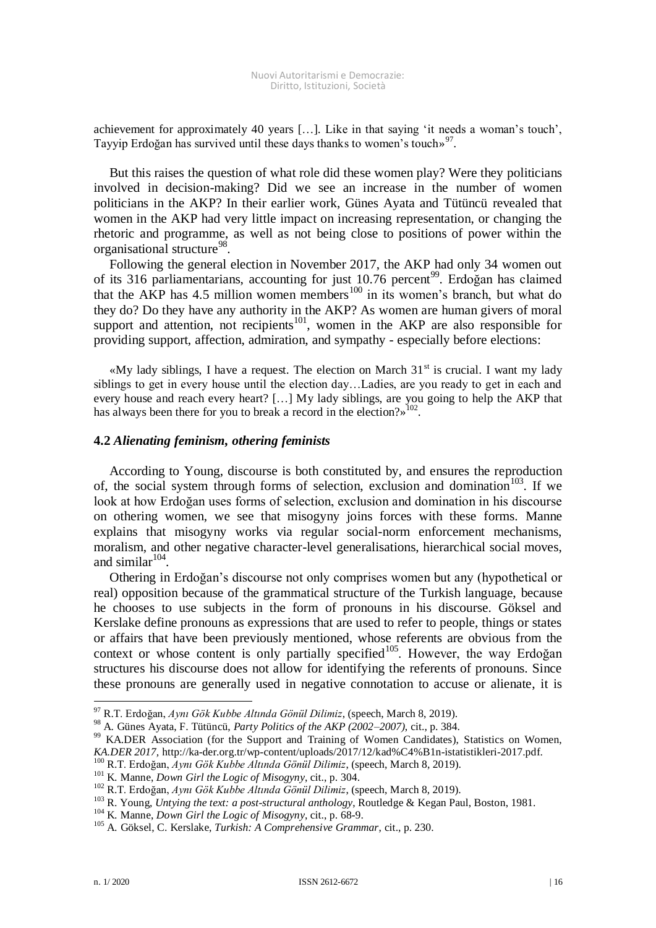achievement for approximately 40 years […]. Like in that saying 'it needs a woman's touch', Tayyip Erdoğan has survived until these days thanks to women's touch»<sup>97</sup>.

But this raises the question of what role did these women play? Were they politicians involved in decision-making? Did we see an increase in the number of women politicians in the AKP? In their earlier work, Günes Ayata and Tütüncü revealed that women in the AKP had very little impact on increasing representation, or changing the rhetoric and programme, as well as not being close to positions of power within the organisational structure<sup>98</sup>.

Following the general election in November 2017, the AKP had only 34 women out of its 316 parliamentarians, accounting for just 10.76 percent<sup>99</sup>. Erdoğan has claimed that the AKP has  $4.5$  million women members<sup>100</sup> in its women's branch, but what do they do? Do they have any authority in the AKP? As women are human givers of moral support and attention, not recipients<sup>101</sup>, women in the AKP are also responsible for providing support, affection, admiration, and sympathy - especially before elections:

«My lady siblings, I have a request. The election on March  $31<sup>st</sup>$  is crucial. I want my lady siblings to get in every house until the election day…Ladies, are you ready to get in each and every house and reach every heart? […] My lady siblings, are you going to help the AKP that has always been there for you to break a record in the election?»  $102$ .

## **4.2** *Alienating feminism, othering feminists*

According to Young, discourse is both constituted by, and ensures the reproduction of, the social system through forms of selection, exclusion and domination<sup>103</sup>. If we look at how Erdoğan uses forms of selection, exclusion and domination in his discourse on othering women, we see that misogyny joins forces with these forms. Manne explains that misogyny works via regular social-norm enforcement mechanisms, moralism, and other negative character-level generalisations, hierarchical social moves, and similar $104$ .

Othering in Erdoğan's discourse not only comprises women but any (hypothetical or real) opposition because of the grammatical structure of the Turkish language, because he chooses to use subjects in the form of pronouns in his discourse. Göksel and Kerslake define pronouns as expressions that are used to refer to people, things or states or affairs that have been previously mentioned, whose referents are obvious from the context or whose content is only partially specified<sup>105</sup>. However, the way Erdoğan structures his discourse does not allow for identifying the referents of pronouns. Since these pronouns are generally used in negative connotation to accuse or alienate, it is

<sup>97</sup> R.T. Erdoğan, *Aynı Gök Kubbe Altında Gönül Dilimiz*, (speech, March 8, 2019).

<sup>98</sup> A. Günes Ayata, F. Tütüncü, *Party Politics of the AKP (2002–2007)*, cit., p. 384.

<sup>&</sup>lt;sup>99</sup> KA.DER Association (for the Support and Training of Women Candidates), Statistics on Women, *KA.DER 2017,* http://ka-der.org.tr/wp-content/uploads/2017/12/kad%C4%B1n-istatistikleri-2017.pdf.

<sup>100</sup> R.T. Erdoğan, *Aynı Gök Kubbe Altında Gönül Dilimiz*, (speech, March 8, 2019).

<sup>101</sup> K. Manne, *Down Girl the Logic of Misogyny*, cit., p. 304.

<sup>102</sup> R.T. Erdoğan, *Aynı Gök Kubbe Altında Gönül Dilimiz*, (speech, March 8, 2019).

<sup>&</sup>lt;sup>103</sup> R. Young, *Untying the text: a post-structural anthology*, Routledge & Kegan Paul, Boston, 1981.

<sup>104</sup> K. Manne, *Down Girl the Logic of Misogyny*, cit., p. 68-9.

<sup>105</sup> A. Göksel, C. Kerslake, *Turkish: A Comprehensive Grammar*, cit., p. 230.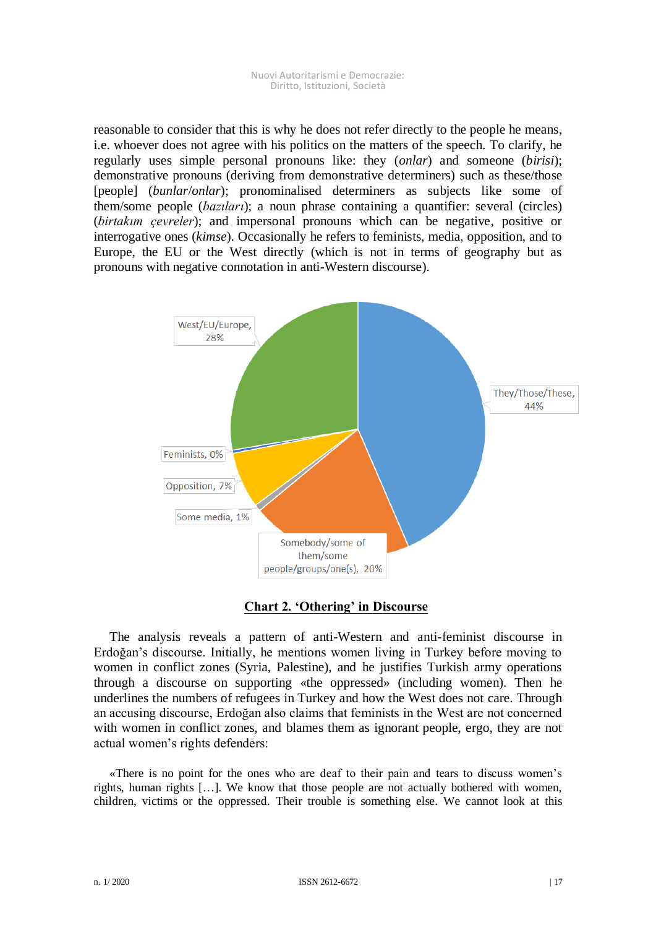reasonable to consider that this is why he does not refer directly to the people he means, i.e. whoever does not agree with his politics on the matters of the speech. To clarify, he regularly uses simple personal pronouns like: they (*onlar*) and someone (*birisi*); demonstrative pronouns (deriving from demonstrative determiners) such as these/those [people] (*bunlar*/*onlar*); pronominalised determiners as subjects like some of them/some people (*bazıları*); a noun phrase containing a quantifier: several (circles) (*birtakım çevreler*); and impersonal pronouns which can be negative, positive or interrogative ones (*kimse*). Occasionally he refers to feminists, media, opposition, and to Europe, the EU or the West directly (which is not in terms of geography but as pronouns with negative connotation in anti-Western discourse).



**Chart 2. 'Othering' in Discourse**

The analysis reveals a pattern of anti-Western and anti-feminist discourse in Erdoğan's discourse. Initially, he mentions women living in Turkey before moving to women in conflict zones (Syria, Palestine), and he justifies Turkish army operations through a discourse on supporting «the oppressed» (including women). Then he underlines the numbers of refugees in Turkey and how the West does not care. Through an accusing discourse, Erdoğan also claims that feminists in the West are not concerned with women in conflict zones, and blames them as ignorant people, ergo, they are not actual women's rights defenders:

«There is no point for the ones who are deaf to their pain and tears to discuss women's rights, human rights […]. We know that those people are not actually bothered with women, children, victims or the oppressed. Their trouble is something else. We cannot look at this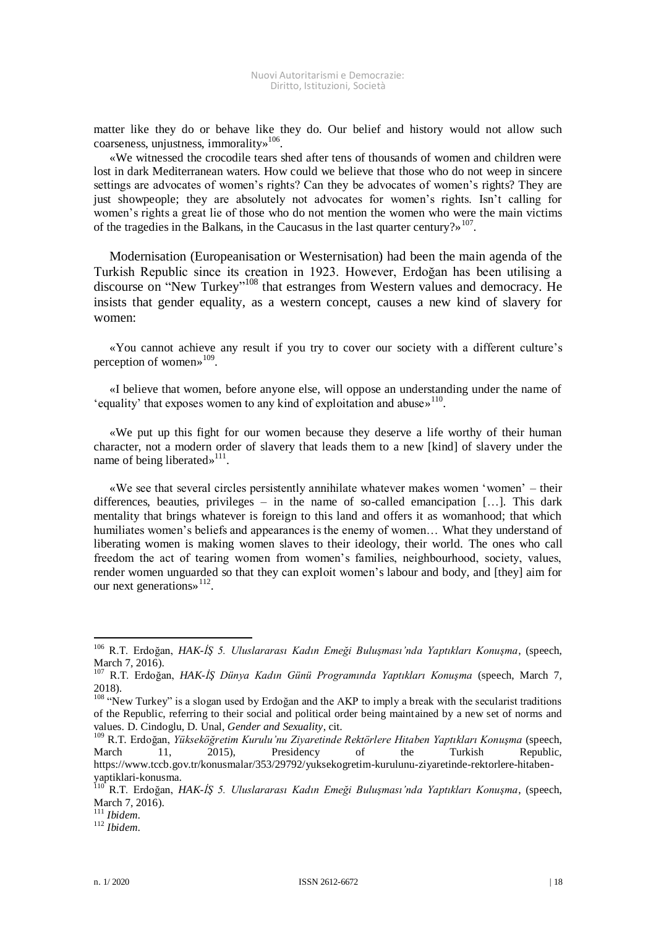matter like they do or behave like they do. Our belief and history would not allow such coarseness, unjustness, immorality»<sup>106</sup>.

«We witnessed the crocodile tears shed after tens of thousands of women and children were lost in dark Mediterranean waters. How could we believe that those who do not weep in sincere settings are advocates of women's rights? Can they be advocates of women's rights? They are just showpeople; they are absolutely not advocates for women's rights. Isn't calling for women's rights a great lie of those who do not mention the women who were the main victims of the tragedies in the Balkans, in the Caucasus in the last quarter century?»  $107$ .

Modernisation (Europeanisation or Westernisation) had been the main agenda of the Turkish Republic since its creation in 1923. However, Erdoğan has been utilising a discourse on "New Turkey"<sup>108</sup> that estranges from Western values and democracy. He insists that gender equality, as a western concept, causes a new kind of slavery for women:

«You cannot achieve any result if you try to cover our society with a different culture's perception of women»<sup>109</sup>.

«I believe that women, before anyone else, will oppose an understanding under the name of 'equality' that exposes women to any kind of exploitation and abuse»<sup>110</sup>.

«We put up this fight for our women because they deserve a life worthy of their human character, not a modern order of slavery that leads them to a new [kind] of slavery under the name of being liberated»<sup>111</sup>.

«We see that several circles persistently annihilate whatever makes women 'women' – their differences, beauties, privileges – in the name of so-called emancipation [...]. This dark mentality that brings whatever is foreign to this land and offers it as womanhood; that which humiliates women's beliefs and appearances is the enemy of women... What they understand of liberating women is making women slaves to their ideology, their world. The ones who call freedom the act of tearing women from women's families, neighbourhood, society, values, render women unguarded so that they can exploit women's labour and body, and [they] aim for our next generations»<sup>112</sup>.

<sup>106</sup> R.T. Erdoğan, *HAK-İŞ 5. Uluslararası Kadın Emeği Buluşması'nda Yaptıkları Konuşma*, (speech, March 7, 2016).

<sup>107</sup> R.T. Erdoğan, *HAK-İŞ Dünya Kadın Günü Programında Yaptıkları Konuşma* (speech, March 7, 2018).

<sup>&</sup>lt;sup>108</sup> "New Turkey" is a slogan used by Erdoğan and the AKP to imply a break with the secularist traditions of the Republic, referring to their social and political order being maintained by a new set of norms and values. D. Cindoglu, D. Unal, *Gender and Sexuality*, cit.

<sup>109</sup> R.T. Erdoğan, *Yükseköğretim Kurulu'nu Ziyaretinde Rektörlere Hitaben Yaptıkları Konuşma* (speech, March 11, 2015), Presidency of the Turkish Republic, https://www.tccb.gov.tr/konusmalar/353/29792/yuksekogretim-kurulunu-ziyaretinde-rektorlere-hitabenyaptiklari-konusma.

<sup>110</sup> R.T. Erdoğan, *HAK-İŞ 5. Uluslararası Kadın Emeği Buluşması'nda Yaptıkları Konuşma*, (speech, March 7, 2016).

<sup>111</sup> *Ibidem*.

<sup>112</sup> *Ibidem*.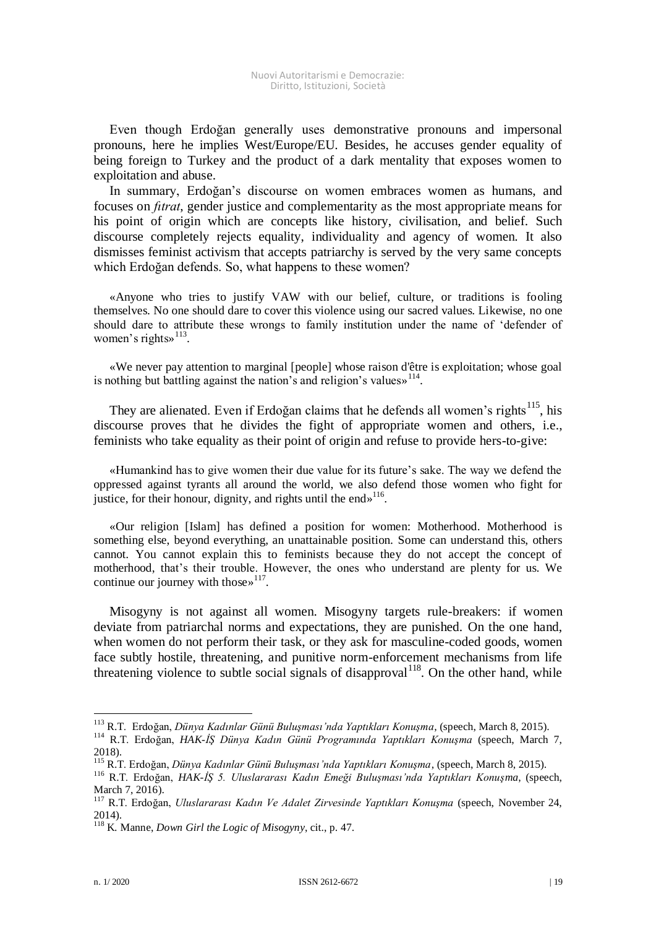Even though Erdoğan generally uses demonstrative pronouns and impersonal pronouns, here he implies West/Europe/EU. Besides, he accuses gender equality of being foreign to Turkey and the product of a dark mentality that exposes women to exploitation and abuse.

In summary, Erdoğan's discourse on women embraces women as humans, and focuses on *fıtrat*, gender justice and complementarity as the most appropriate means for his point of origin which are concepts like history, civilisation, and belief. Such discourse completely rejects equality, individuality and agency of women. It also dismisses feminist activism that accepts patriarchy is served by the very same concepts which Erdoğan defends. So, what happens to these women?

«Anyone who tries to justify VAW with our belief, culture, or traditions is fooling themselves. No one should dare to cover this violence using our sacred values. Likewise, no one should dare to attribute these wrongs to family institution under the name of 'defender of women's rights<sup>3113</sup>.

«We never pay attention to marginal [people] whose raison d'être is exploitation; whose goal is nothing but battling against the nation's and religion's values»<sup>114</sup>.

They are alienated. Even if Erdoğan claims that he defends all women's rights<sup>115</sup>, his discourse proves that he divides the fight of appropriate women and others, i.e., feminists who take equality as their point of origin and refuse to provide hers-to-give:

«Humankind has to give women their due value for its future's sake. The way we defend the oppressed against tyrants all around the world, we also defend those women who fight for justice, for their honour, dignity, and rights until the end»<sup>116</sup>.

«Our religion [Islam] has defined a position for women: Motherhood. Motherhood is something else, beyond everything, an unattainable position. Some can understand this, others cannot. You cannot explain this to feminists because they do not accept the concept of motherhood, that's their trouble. However, the ones who understand are plenty for us. We continue our journey with those  $\frac{117}{11}$ .

Misogyny is not against all women. Misogyny targets rule-breakers: if women deviate from patriarchal norms and expectations, they are punished. On the one hand, when women do not perform their task, or they ask for masculine-coded goods, women face subtly hostile, threatening, and punitive norm-enforcement mechanisms from life threatening violence to subtle social signals of disapproval $118$ . On the other hand, while

<sup>113</sup> R.T. Erdoğan, *Dünya Kadınlar Günü Buluşması'nda Yaptıkları Konuşma*, (speech, March 8, 2015).

<sup>114</sup> R.T. Erdoğan, *HAK-İŞ Dünya Kadın Günü Programında Yaptıkları Konuşma* (speech, March 7, 2018).

<sup>115</sup> R.T. Erdoğan, *Dünya Kadınlar Günü Buluşması'nda Yaptıkları Konuşma*, (speech, March 8, 2015).

<sup>116</sup> R.T. Erdoğan, *HAK-İŞ 5. Uluslararası Kadın Emeği Buluşması'nda Yaptıkları Konuşma*, (speech, March 7, 2016).

<sup>117</sup> R.T. Erdoğan, *Uluslararası Kadın Ve Adalet Zirvesinde Yaptıkları Konuşma* (speech, November 24, 2014).

<sup>118</sup> K. Manne, *Down Girl the Logic of Misogyny*, cit., p. 47.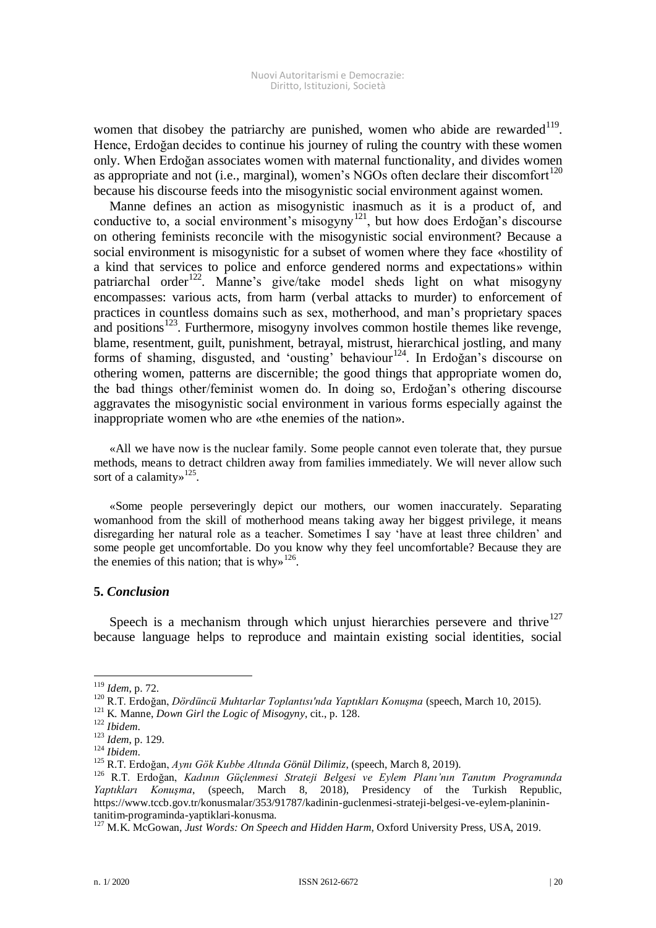women that disobey the patriarchy are punished, women who abide are rewarded $119$ . Hence, Erdoğan decides to continue his journey of ruling the country with these women only. When Erdoğan associates women with maternal functionality, and divides women as appropriate and not (i.e., marginal), women's NGOs often declare their discomfort<sup>120</sup> because his discourse feeds into the misogynistic social environment against women.

Manne defines an action as misogynistic inasmuch as it is a product of, and conductive to, a social environment's misogyny<sup>121</sup>, but how does Erdoğan's discourse on othering feminists reconcile with the misogynistic social environment? Because a social environment is misogynistic for a subset of women where they face «hostility of a kind that services to police and enforce gendered norms and expectations» within patriarchal order<sup>122</sup>. Manne's give/take model sheds light on what misogyny encompasses: various acts, from harm (verbal attacks to murder) to enforcement of practices in countless domains such as sex, motherhood, and man's proprietary spaces and positions $123$ . Furthermore, misogyny involves common hostile themes like revenge, blame, resentment, guilt, punishment, betrayal, mistrust, hierarchical jostling, and many forms of shaming, disgusted, and 'ousting' behaviour<sup>124</sup>. In Erdoğan's discourse on othering women, patterns are discernible; the good things that appropriate women do, the bad things other/feminist women do. In doing so, Erdoğan's othering discourse aggravates the misogynistic social environment in various forms especially against the inappropriate women who are «the enemies of the nation».

«All we have now is the nuclear family. Some people cannot even tolerate that, they pursue methods, means to detract children away from families immediately. We will never allow such sort of a calamity»<sup>125</sup>.

«Some people perseveringly depict our mothers, our women inaccurately. Separating womanhood from the skill of motherhood means taking away her biggest privilege, it means disregarding her natural role as a teacher. Sometimes I say 'have at least three children' and some people get uncomfortable. Do you know why they feel uncomfortable? Because they are the enemies of this nation; that is why  $126$ .

## **5.** *Conclusion*

Speech is a mechanism through which unjust hierarchies persevere and thrive<sup>127</sup> because language helps to reproduce and maintain existing social identities, social

<sup>119</sup> *Idem*, p. 72.

<sup>120</sup> R.T. Erdoğan, *Dördüncü Muhtarlar Toplantısı'nda Yaptıkları Konuşma* (speech, March 10, 2015).

<sup>121</sup> K. Manne, *Down Girl the Logic of Misogyny*, cit., p. 128.

<sup>122</sup> *Ibidem*.

<sup>123</sup> *Idem*, p. 129.

<sup>124</sup> *Ibidem*.

<sup>125</sup> R.T. Erdoğan, *Aynı Gök Kubbe Altında Gönül Dilimiz*, (speech, March 8, 2019).

<sup>126</sup> R.T. Erdoğan, *Kadının Güçlenmesi Strateji Belgesi ve Eylem Planı'nın Tanıtım Programında Yaptıkları Konuşma*, (speech, March 8, 2018), Presidency of the Turkish Republic, https://www.tccb.gov.tr/konusmalar/353/91787/kadinin-guclenmesi-strateji-belgesi-ve-eylem-planinintanitim-programinda-yaptiklari-konusma.

<sup>127</sup> M.K. McGowan, *Just Words: On Speech and Hidden Harm*, Oxford University Press, USA, 2019.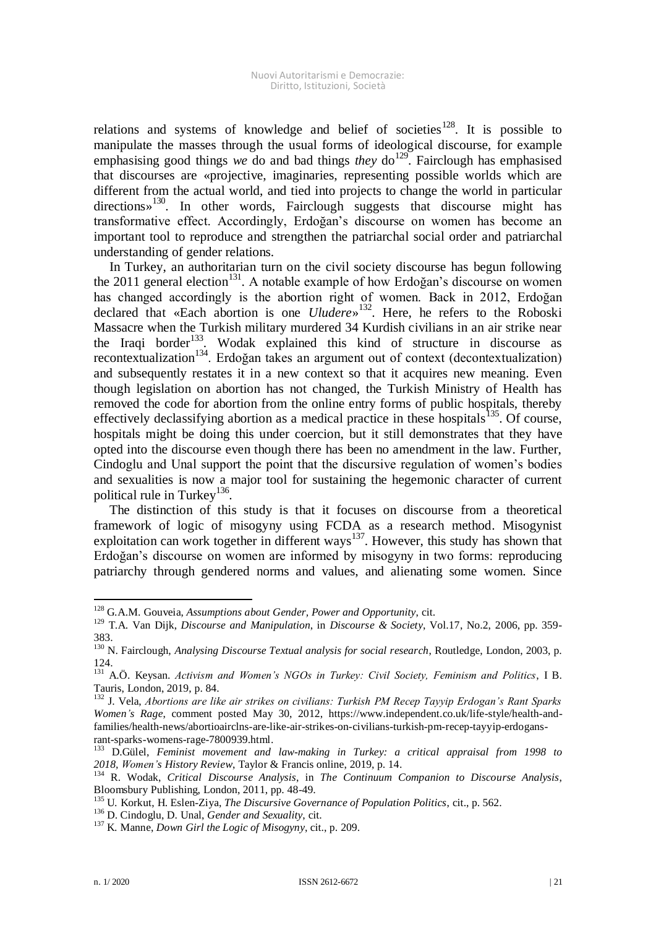relations and systems of knowledge and belief of societies<sup>128</sup>. It is possible to manipulate the masses through the usual forms of ideological discourse, for example emphasising good things we do and bad things *they* do<sup>129</sup>. Fairclough has emphasised that discourses are «projective, imaginaries, representing possible worlds which are different from the actual world, and tied into projects to change the world in particular directions»<sup>130</sup>. In other words, Fairclough suggests that discourse might has transformative effect. Accordingly, Erdoğan's discourse on women has become an important tool to reproduce and strengthen the patriarchal social order and patriarchal understanding of gender relations.

In Turkey, an authoritarian turn on the civil society discourse has begun following the 2011 general election<sup>131</sup>. A notable example of how Erdoğan's discourse on women has changed accordingly is the abortion right of women. Back in 2012, Erdoğan declared that «Each abortion is one *Uludere*» 132 . Here, he refers to the Roboski Massacre when the Turkish military murdered 34 Kurdish civilians in an air strike near the Iraqi border<sup>133</sup>. Wodak explained this kind of structure in discourse as recontextualization<sup>134</sup>. Erdoğan takes an argument out of context (decontextualization) and subsequently restates it in a new context so that it acquires new meaning. Even though legislation on abortion has not changed, the Turkish Ministry of Health has removed the code for abortion from the online entry forms of public hospitals, thereby effectively declassifying abortion as a medical practice in these hospitals<sup>135</sup>. Of course, hospitals might be doing this under coercion, but it still demonstrates that they have opted into the discourse even though there has been no amendment in the law. Further, Cindoglu and Unal support the point that the discursive regulation of women's bodies and sexualities is now a major tool for sustaining the hegemonic character of current political rule in Turkey<sup>136</sup>.

The distinction of this study is that it focuses on discourse from a theoretical framework of logic of misogyny using FCDA as a research method. Misogynist exploitation can work together in different ways<sup>137</sup>. However, this study has shown that Erdoğan's discourse on women are informed by misogyny in two forms: reproducing patriarchy through gendered norms and values, and alienating some women. Since

<sup>&</sup>lt;u>.</u> <sup>128</sup> G.A.M. Gouveia, *Assumptions about Gender, Power and Opportunity*, cit.

<sup>129</sup> T.A. Van Dijk, *Discourse and Manipulation*, in *Discourse & Society*, Vol.17, No.2, 2006, pp. 359- 383.

<sup>130</sup> N. Fairclough, *Analysing Discourse Textual analysis for social research*, Routledge, London, 2003, p. 124.

<sup>131</sup> A.Ö. Keysan. *Activism and Women's NGOs in Turkey: Civil Society, Feminism and Politics*, I B. Tauris, London, 2019, p. 84.

<sup>132</sup> J. Vela, *Abortions are like air strikes on civilians: Turkish PM Recep Tayyip Erdogan's Rant Sparks Women's Rage*, comment posted May 30, 2012, https://www.independent.co.uk/life-style/health-andfamilies/health-news/abortioairclns-are-like-air-strikes-on-civilians-turkish-pm-recep-tayyip-erdogansrant-sparks-womens-rage-7800939.html.

<sup>133</sup> D.Gülel, *Feminist movement and law-making in Turkey: a critical appraisal from 1998 to 2018, Women's History Review*, Taylor & Francis online, 2019, p. 14.

<sup>134</sup> R. Wodak, *Critical Discourse Analysis*, in *The Continuum Companion to Discourse Analysis*, Bloomsbury Publishing, London, 2011, pp. 48-49.

<sup>135</sup> U. Korkut, H. Eslen-Ziya, *The Discursive Governance of Population Politics*, cit., p. 562.

<sup>136</sup> D. Cindoglu, D. Unal, *Gender and Sexuality*, cit.

<sup>137</sup> K. Manne, *Down Girl the Logic of Misogyny*, cit., p. 209.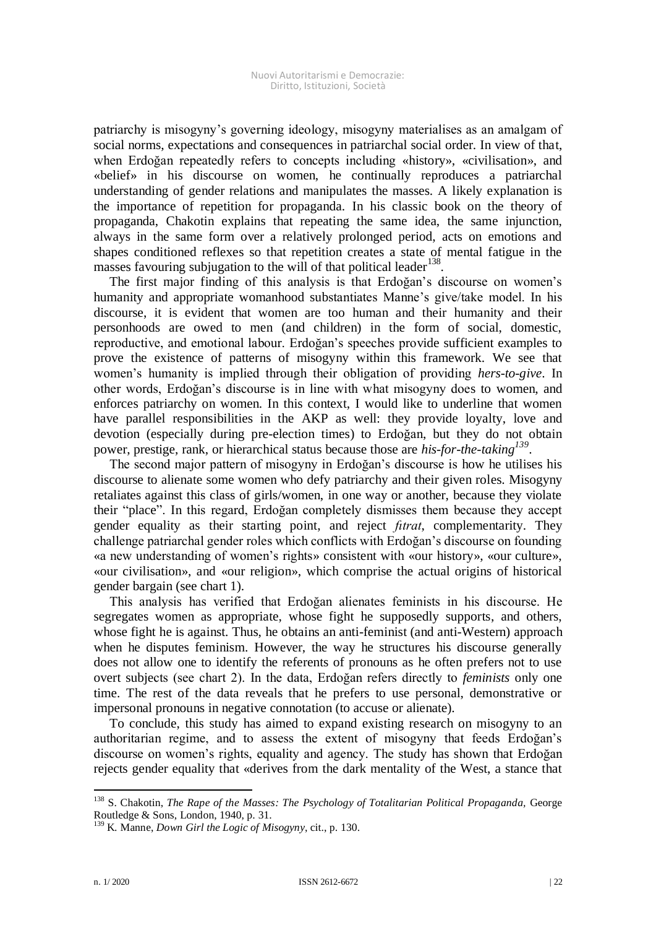patriarchy is misogyny's governing ideology, misogyny materialises as an amalgam of social norms, expectations and consequences in patriarchal social order. In view of that, when Erdoğan repeatedly refers to concepts including «history», «civilisation», and «belief» in his discourse on women, he continually reproduces a patriarchal understanding of gender relations and manipulates the masses. A likely explanation is the importance of repetition for propaganda. In his classic book on the theory of propaganda, Chakotin explains that repeating the same idea, the same injunction, always in the same form over a relatively prolonged period, acts on emotions and shapes conditioned reflexes so that repetition creates a state of mental fatigue in the masses favouring subjugation to the will of that political leader<sup>138</sup>.

The first major finding of this analysis is that Erdoğan's discourse on women's humanity and appropriate womanhood substantiates Manne's give/take model. In his discourse, it is evident that women are too human and their humanity and their personhoods are owed to men (and children) in the form of social, domestic, reproductive, and emotional labour. Erdoğan's speeches provide sufficient examples to prove the existence of patterns of misogyny within this framework. We see that women's humanity is implied through their obligation of providing *hers-to-give*. In other words, Erdoğan's discourse is in line with what misogyny does to women, and enforces patriarchy on women. In this context, I would like to underline that women have parallel responsibilities in the AKP as well: they provide loyalty, love and devotion (especially during pre-election times) to Erdoğan, but they do not obtain power, prestige, rank, or hierarchical status because those are *his-for-the-taking<sup>139</sup>* .

The second major pattern of misogyny in Erdoğan's discourse is how he utilises his discourse to alienate some women who defy patriarchy and their given roles. Misogyny retaliates against this class of girls/women, in one way or another, because they violate their "place". In this regard, Erdoğan completely dismisses them because they accept gender equality as their starting point, and reject *fıtrat*, complementarity. They challenge patriarchal gender roles which conflicts with Erdoğan's discourse on founding «a new understanding of women's rights» consistent with «our history», «our culture», «our civilisation», and «our religion», which comprise the actual origins of historical gender bargain (see chart 1).

This analysis has verified that Erdoğan alienates feminists in his discourse. He segregates women as appropriate, whose fight he supposedly supports, and others, whose fight he is against. Thus, he obtains an anti-feminist (and anti-Western) approach when he disputes feminism. However, the way he structures his discourse generally does not allow one to identify the referents of pronouns as he often prefers not to use overt subjects (see chart 2). In the data, Erdoğan refers directly to *feminists* only one time. The rest of the data reveals that he prefers to use personal, demonstrative or impersonal pronouns in negative connotation (to accuse or alienate).

To conclude, this study has aimed to expand existing research on misogyny to an authoritarian regime, and to assess the extent of misogyny that feeds Erdoğan's discourse on women's rights, equality and agency. The study has shown that Erdoğan rejects gender equality that «derives from the dark mentality of the West, a stance that

<sup>&</sup>lt;sup>138</sup> S. Chakotin, *The Rape of the Masses: The Psychology of Totalitarian Political Propaganda*, George Routledge & Sons, London, 1940, p. 31.

<sup>139</sup> K. Manne, *Down Girl the Logic of Misogyny*, cit., p. 130.